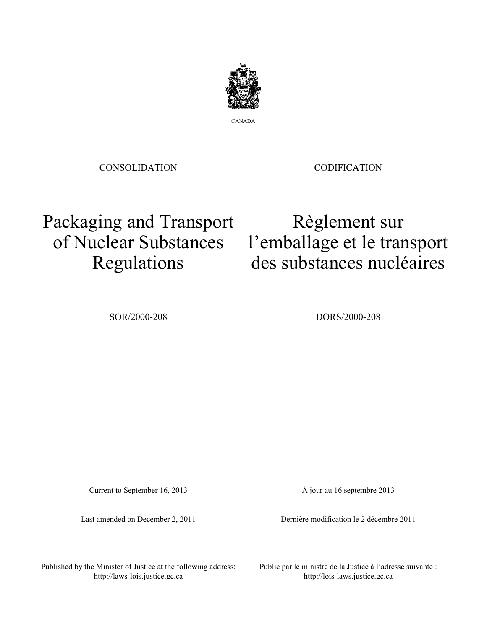

CANADA

CONSOLIDATION

CODIFICATION

Règlement sur

l'emballage et le transport

des substances nucléaires

# Packaging and Transport of Nuclear Substances Regulations

SOR/2000-208 DORS/2000-208

Current to September 16, 2013

Last amended on December 2, 2011

À jour au 16 septembre 2013

Dernière modification le 2 décembre 2011

Published by the Minister of Justice at the following address: http://laws-lois.justice.gc.ca

Publié par le ministre de la Justice à l'adresse suivante : http://lois-laws.justice.gc.ca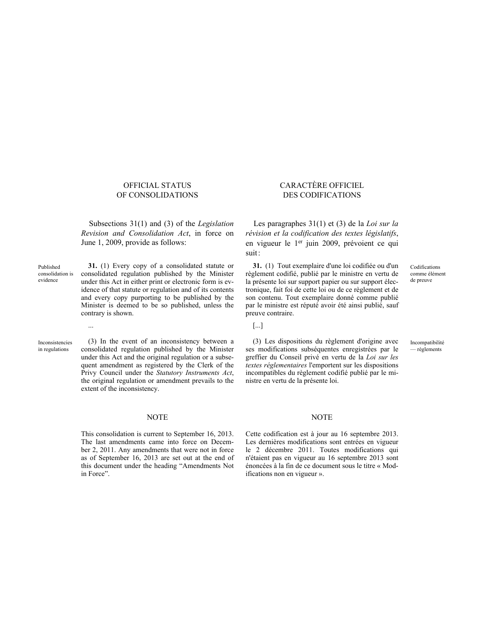### OFFICIAL STATUS OF CONSOLIDATIONS

Subsections 31(1) and (3) of the *Legislation Revision and Consolidation Act*, in force on June 1, 2009, provide as follows:

consolidation is **31.** (1) Every copy of a consolidated statute or consolidated regulation published by the Minister under this Act in either print or electronic form is evidence of that statute or regulation and of its contents and every copy purporting to be published by the Minister is deemed to be so published, unless the contrary is shown.

Inconsistencies in regulations

Published

evidence

(3) In the event of an inconsistency between a consolidated regulation published by the Minister under this Act and the original regulation or a subsequent amendment as registered by the Clerk of the Privy Council under the *Statutory Instruments Act*, the original regulation or amendment prevails to the extent of the inconsistency.

### NOTE NOTE

This consolidation is current to September 16, 2013. The last amendments came into force on December 2, 2011. Any amendments that were not in force as of September 16, 2013 are set out at the end of this document under the heading "Amendments Not in Force".

### CARACTÈRE OFFICIEL DES CODIFICATIONS

Les paragraphes 31(1) et (3) de la *Loi sur la révision et la codification des textes législatifs*, en vigueur le 1<sup>er</sup> juin 2009, prévoient ce qui suit:

**31.** (1) Tout exemplaire d'une loi codifiée ou d'un règlement codifié, publié par le ministre en vertu de la présente loi sur support papier ou sur support électronique, fait foi de cette loi ou de ce règlement et de son contenu. Tout exemplaire donné comme publié par le ministre est réputé avoir été ainsi publié, sauf preuve contraire.

Codifications comme élément de preuve

Incompatibilité — règlements

... [...]

(3) Les dispositions du règlement d'origine avec ses modifications subséquentes enregistrées par le greffier du Conseil privé en vertu de la *Loi sur les textes réglementaires* l'emportent sur les dispositions incompatibles du règlement codifié publié par le ministre en vertu de la présente loi.

Cette codification est à jour au 16 septembre 2013. Les dernières modifications sont entrées en vigueur le 2 décembre 2011. Toutes modifications qui n'étaient pas en vigueur au 16 septembre 2013 sont énoncées à la fin de ce document sous le titre « Modifications non en vigueur ».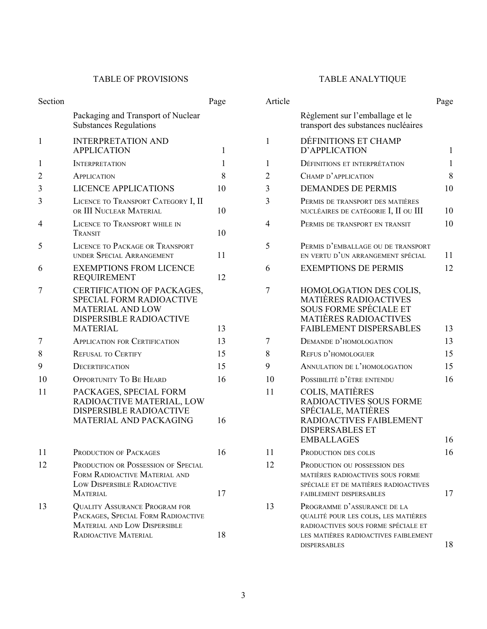# TABLE OF PROVISIONS TABLE ANALYTIQUE

| Section        |                                                                                                                                           | Page | Article        |                                                                                                                                                     | Page |
|----------------|-------------------------------------------------------------------------------------------------------------------------------------------|------|----------------|-----------------------------------------------------------------------------------------------------------------------------------------------------|------|
|                | Packaging and Transport of Nuclear<br><b>Substances Regulations</b>                                                                       |      |                | Règlement sur l'emballage et le<br>transport des substances nucléaires                                                                              |      |
| $\mathbf{1}$   | <b>INTERPRETATION AND</b><br><b>APPLICATION</b>                                                                                           | 1    | $\mathbf{1}$   | DÉFINITIONS ET CHAMP<br>D'APPLICATION                                                                                                               | 1    |
| 1              | <b>INTERPRETATION</b>                                                                                                                     | 1    | 1              | DÉFINITIONS ET INTERPRÉTATION                                                                                                                       |      |
| $\overline{2}$ | <b>APPLICATION</b>                                                                                                                        | 8    | $\overline{2}$ | CHAMP D'APPLICATION                                                                                                                                 | 8    |
| 3              | <b>LICENCE APPLICATIONS</b>                                                                                                               | 10   | 3              | <b>DEMANDES DE PERMIS</b>                                                                                                                           | 10   |
| 3              | LICENCE TO TRANSPORT CATEGORY I, II<br>OR III NUCLEAR MATERIAL                                                                            | 10   | 3              | PERMIS DE TRANSPORT DES MATIÈRES<br>NUCLÉAIRES DE CATÉGORIE I, II OU III                                                                            | 10   |
| 4              | LICENCE TO TRANSPORT WHILE IN<br>TRANSIT                                                                                                  | 10   | $\overline{4}$ | PERMIS DE TRANSPORT EN TRANSIT                                                                                                                      | 10   |
| 5              | <b>LICENCE TO PACKAGE OR TRANSPORT</b><br>UNDER SPECIAL ARRANGEMENT                                                                       | 11   | 5              | PERMIS D'EMBALLAGE OU DE TRANSPORT<br>EN VERTU D'UN ARRANGEMENT SPÉCIAL                                                                             | 11   |
| 6              | <b>EXEMPTIONS FROM LICENCE</b><br><b>REQUIREMENT</b>                                                                                      | 12   | 6              | <b>EXEMPTIONS DE PERMIS</b>                                                                                                                         | 12   |
| 7              | CERTIFICATION OF PACKAGES,<br>SPECIAL FORM RADIOACTIVE<br>MATERIAL AND LOW<br>DISPERSIBLE RADIOACTIVE<br><b>MATERIAL</b>                  | 13   | $\tau$         | HOMOLOGATION DES COLIS,<br><b>MATIÈRES RADIOACTIVES</b><br><b>SOUS FORME SPÉCIALE ET</b><br><b>MATIÈRES RADIOACTIVES</b><br>FAIBLEMENT DISPERSABLES | 13   |
| 7              | <b>APPLICATION FOR CERTIFICATION</b>                                                                                                      | 13   | $\tau$         | DEMANDE D'HOMOLOGATION                                                                                                                              | 13   |
| 8              | <b>REFUSAL TO CERTIFY</b>                                                                                                                 | 15   | 8              | REFUS D'HOMOLOGUER                                                                                                                                  | 15   |
| 9              | DECERTIFICATION                                                                                                                           | 15   | 9              | ANNULATION DE L'HOMOLOGATION                                                                                                                        | 15   |
| 10             | <b>OPPORTUNITY TO BE HEARD</b>                                                                                                            | 16   | 10             | POSSIBILITÉ D'ÊTRE ENTENDU                                                                                                                          | 16   |
| 11             | PACKAGES, SPECIAL FORM<br>RADIOACTIVE MATERIAL, LOW<br>DISPERSIBLE RADIOACTIVE<br>MATERIAL AND PACKAGING                                  | 16   | 11             | COLIS, MATIÈRES<br>RADIOACTIVES SOUS FORME<br>SPÉCIALE, MATIÈRES<br>RADIOACTIVES FAIBLEMENT<br><b>DISPERSABLES ET</b><br><b>EMBALLAGES</b>          | 16   |
| 11             | PRODUCTION OF PACKAGES                                                                                                                    | 16   | 11             | PRODUCTION DES COLIS                                                                                                                                | 16   |
| 12             | PRODUCTION OR POSSESSION OF SPECIAL<br>FORM RADIOACTIVE MATERIAL AND<br>LOW DISPERSIBLE RADIOACTIVE<br><b>MATERIAL</b>                    | 17   | 12             | PRODUCTION OU POSSESSION DES<br>MATIÈRES RADIOACTIVES SOUS FORME<br>SPÉCIALE ET DE MATIÈRES RADIOACTIVES<br>FAIBLEMENT DISPERSABLES                 | 17   |
| 13             | <b>QUALITY ASSURANCE PROGRAM FOR</b><br>PACKAGES, SPECIAL FORM RADIOACTIVE<br><b>MATERIAL AND LOW DISPERSIBLE</b><br>RADIOACTIVE MATERIAL | 18   | 13             | PROGRAMME D'ASSURANCE DE LA<br>QUALITÉ POUR LES COLIS, LES MATIÈRES<br>RADIOACTIVES SOUS FORME SPÉCIALE ET<br>LES MATIÈRES RADIOACTIVES FAIBLEMENT  |      |
|                |                                                                                                                                           |      |                |                                                                                                                                                     |      |

| Article        |                                                                                                                                                                          | Page         |
|----------------|--------------------------------------------------------------------------------------------------------------------------------------------------------------------------|--------------|
|                | Règlement sur l'emballage et le<br>transport des substances nucléaires                                                                                                   |              |
| 1              | DÉFINITIONS ET CHAMP<br>D'APPLICATION                                                                                                                                    | $\mathbf{1}$ |
| 1              | DÉFINITIONS ET INTERPRÉTATION                                                                                                                                            | 1            |
| 2              | CHAMP D'APPLICATION                                                                                                                                                      | 8            |
| 3              | <b>DEMANDES DE PERMIS</b>                                                                                                                                                | 10           |
| $\overline{3}$ | PERMIS DE TRANSPORT DES MATIÈRES<br>NUCLÉAIRES DE CATÉGORIE I, II OU III                                                                                                 | 10           |
| 4              | PERMIS DE TRANSPORT EN TRANSIT                                                                                                                                           | 10           |
| 5              | PERMIS D'EMBALLAGE OU DE TRANSPORT<br>EN VERTU D'UN ARRANGEMENT SPÉCIAL                                                                                                  | 11           |
| 6              | <b>EXEMPTIONS DE PERMIS</b>                                                                                                                                              | 12           |
| 7              | HOMOLOGATION DES COLIS,<br><b>MATIÈRES RADIOACTIVES</b><br>SOUS FORME SPÉCIALE ET<br><b>MATIÈRES RADIOACTIVES</b>                                                        |              |
|                | <b>FAIBLEMENT DISPERSABLES</b>                                                                                                                                           | 13           |
| 7              | DEMANDE D'HOMOLOGATION                                                                                                                                                   | 13           |
| 8              | REFUS D'HOMOLOGUER                                                                                                                                                       | 15           |
| 9              | ANNULATION DE L'HOMOLOGATION                                                                                                                                             | 15           |
| 10<br>11       | POSSIBILITÉ D'ÊTRE ENTENDU<br>COLIS, MATIÈRES<br>RADIOACTIVES SOUS FORME<br>SPÉCIALE, MATIÈRES<br>RADIOACTIVES FAIBLEMENT<br><b>DISPERSABLES ET</b><br><b>EMBALLAGES</b> | 16<br>16     |
| 11             | PRODUCTION DES COLIS                                                                                                                                                     | 16           |
| 12             | PRODUCTION OU POSSESSION DES<br>MATIÈRES RADIOACTIVES SOUS FORME<br>SPÉCIALE ET DE MATIÈRES RADIOACTIVES<br><b>FAIBLEMENT DISPERSABLES</b>                               | 17           |
| 13             | PROGRAMME D'ASSURANCE DE LA<br>QUALITÉ POUR LES COLIS, LES MATIÈRES<br>RADIOACTIVES SOUS FORME SPÉCIALE ET<br>LES MATIÈRES RADIOACTIVES FAIBLEMENT                       |              |
|                | <b>DISPERSABLES</b>                                                                                                                                                      | 18           |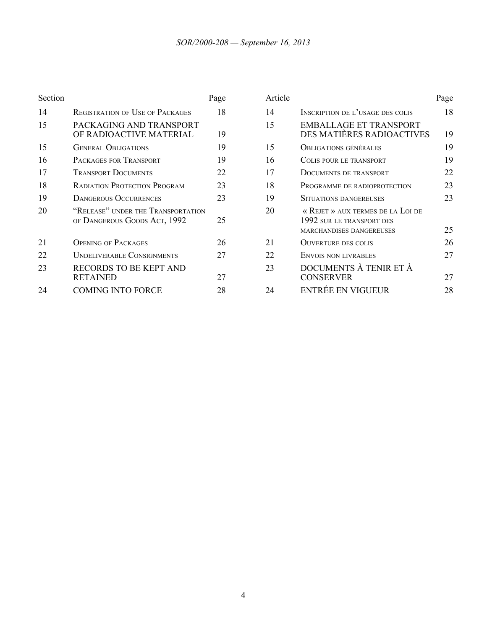| Section |                                                                    | Page | Article |                                                                                                          | Page |
|---------|--------------------------------------------------------------------|------|---------|----------------------------------------------------------------------------------------------------------|------|
| 14      | <b>REGISTRATION OF USE OF PACKAGES</b>                             | 18   | 14      | <b>INSCRIPTION DE L'USAGE DES COLIS</b>                                                                  | 18   |
| 15      | PACKAGING AND TRANSPORT<br>OF RADIOACTIVE MATERIAL                 | 19   | 15      | <b>EMBALLAGE ET TRANSPORT</b><br>DES MATIÈRES RADIOACTIVES                                               | 19   |
| 15      | <b>GENERAL OBLIGATIONS</b>                                         | 19   | 15      | <b>OBLIGATIONS GÉNÉRALES</b>                                                                             | 19   |
| 16      | PACKAGES FOR TRANSPORT                                             | 19   | 16      | COLIS POUR LE TRANSPORT                                                                                  | 19   |
| 17      | <b>TRANSPORT DOCUMENTS</b>                                         | 22   | 17      | <b>DOCUMENTS DE TRANSPORT</b>                                                                            | 22   |
| 18      | <b>RADIATION PROTECTION PROGRAM</b>                                | 23   | 18      | PROGRAMME DE RADIOPROTECTION                                                                             | 23   |
| 19      | <b>DANGEROUS OCCURRENCES</b>                                       | 23   | 19      | <b>SITUATIONS DANGEREUSES</b>                                                                            | 23   |
| 20      | "RELEASE" UNDER THE TRANSPORTATION<br>OF DANGEROUS GOODS ACT, 1992 | 25   | 20      | <b>« REJET » AUX TERMES DE LA LOI DE</b><br>1992 SUR LE TRANSPORT DES<br><b>MARCHANDISES DANGEREUSES</b> | 25   |
| 21      | <b>OPENING OF PACKAGES</b>                                         | 26   | 21      | <b>OUVERTURE DES COLIS</b>                                                                               | 26   |
| 22      | <b>UNDELIVERABLE CONSIGNMENTS</b>                                  | 27   | 22      | <b>ENVOIS NON LIVRABLES</b>                                                                              | 27   |
| 23      | RECORDS TO BE KEPT AND<br><b>RETAINED</b>                          | 27   | 23      | DOCUMENTS À TENIR ET À<br><b>CONSERVER</b>                                                               | 27   |
| 24      | <b>COMING INTO FORCE</b>                                           | 28   | 24      | ENTRÉE EN VIGUEUR                                                                                        | 28   |
|         |                                                                    |      |         |                                                                                                          |      |

| Section |                                                                    | Page | Article |                                                                                                   | Page |
|---------|--------------------------------------------------------------------|------|---------|---------------------------------------------------------------------------------------------------|------|
| 14      | <b>REGISTRATION OF USE OF PACKAGES</b>                             | 18   | 14      | <b>INSCRIPTION DE L'USAGE DES COLIS</b>                                                           | 18   |
| 15      | PACKAGING AND TRANSPORT<br>OF RADIOACTIVE MATERIAL                 | 19   | 15      | <b>EMBALLAGE ET TRANSPORT</b><br>DES MATIÈRES RADIOACTIVES                                        | 19   |
| 15      | <b>GENERAL OBLIGATIONS</b>                                         | 19   | 15      | <b>OBLIGATIONS GÉNÉRALES</b>                                                                      | 19   |
| 16      | PACKAGES FOR TRANSPORT                                             | 19   | 16      | COLIS POUR LE TRANSPORT                                                                           | 19   |
| 17      | <b>TRANSPORT DOCUMENTS</b>                                         | 22   | 17      | DOCUMENTS DE TRANSPORT                                                                            | 22   |
| 18      | <b>RADIATION PROTECTION PROGRAM</b>                                | 23   | 18      | PROGRAMME DE RADIOPROTECTION                                                                      | 23   |
| 19      | <b>DANGEROUS OCCURRENCES</b>                                       | 23   | 19      | <b>SITUATIONS DANGEREUSES</b>                                                                     | 23   |
| 20      | "RELEASE" UNDER THE TRANSPORTATION<br>OF DANGEROUS GOODS ACT, 1992 | 25   | 20      | <b>« REJET » AUX TERMES DE LA LOI DE</b><br>1992 SUR LE TRANSPORT DES<br>MARCHANDISES DANGEREUSES | 25   |
| 21      | <b>OPENING OF PACKAGES</b>                                         | 26   | 21      | <b>OUVERTURE DES COLIS</b>                                                                        | 26   |
| 22      | <b>UNDELIVERABLE CONSIGNMENTS</b>                                  | 27   | 22      | ENVOIS NON LIVRABLES                                                                              | 27   |
| 23      | <b>RECORDS TO BE KEPT AND</b><br><b>RETAINED</b>                   | 27   | 23      | DOCUMENTS À TENIR ET À<br><b>CONSERVER</b>                                                        | 27   |
| 24      | <b>COMING INTO FORCE</b>                                           | 28   | 24      | <b>ENTRÉE EN VIGUEUR</b>                                                                          | 28   |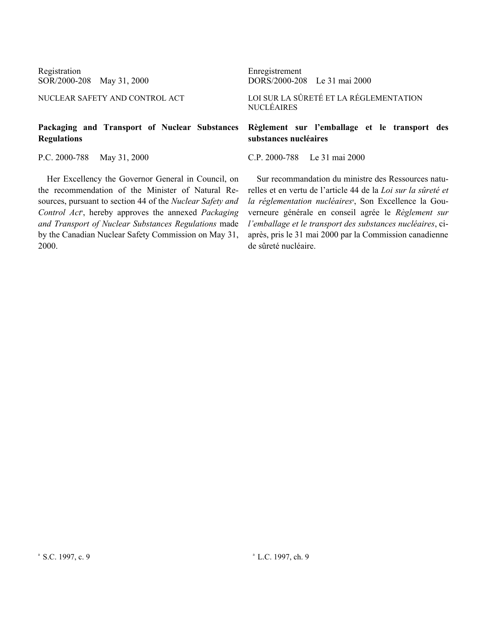SOR/2000-208 May 31, 2000

**Packaging and Transport of Nuclear Substances Regulations**

Her Excellency the Governor General in Council, on the recommendation of the Minister of Natural Resources, pursuant to section 44 of the *Nuclear Safety and* Control Act<sup>a</sup>, hereby approves the annexed *Packaging and Transport of Nuclear Substances Regulations* made by the Canadian Nuclear Safety Commission on May 31, 2000.

Registration<br>SOR/2000-208 May 31, 2000<br>DORS/2000-208 Le 31 mai 2000

NUCLEAR SAFETY AND CONTROL ACT LOI SUR LA SÛRETÉ ET LA RÉGLEMENTATION NUCLÉAIRES

> **Règlement sur l'emballage et le transport des substances nucléaires**

P.C. 2000-788 May 31, 2000 C.P. 2000-788 Le 31 mai 2000

Sur recommandation du ministre des Ressources naturelles et en vertu de l'article 44 de la *Loi sur la sûreté et* la réglementation nucléaires<sup>a</sup>, Son Excellence la Gouverneure générale en conseil agrée le *Règlement sur l'emballage et le transport des substances nucléaires*, ciaprès, pris le 31 mai 2000 par la Commission canadienne de sûreté nucléaire.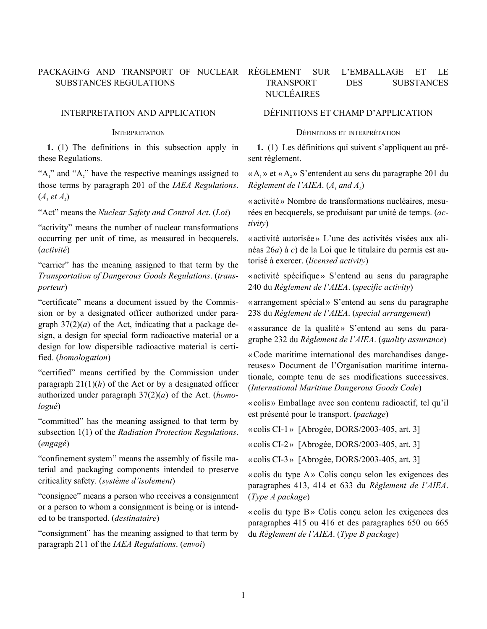# <span id="page-5-0"></span>PACKAGING AND TRANSPORT OF NUCLEAR REGLEMENT SUBSTANCES REGULATIONS

**1.** (1) The definitions in this subsection apply in these Regulations.

" $A_1$ " and " $A_2$ " have the respective meanings assigned to those terms by paragraph 201 of the *IAEA Regulations*.  $(A<sub>1</sub> et A<sub>2</sub>)$ 

"Act" means the *Nuclear Safety and Control Act*. (*Loi*)

"activity" means the number of nuclear transformations occurring per unit of time, as measured in becquerels. (*activité*)

"carrier" has the meaning assigned to that term by the *Transportation of Dangerous Goods Regulations*. (*transporteur*)

"certificate" means a document issued by the Commission or by a designated officer authorized under paragraph  $37(2)(a)$  of the Act, indicating that a package design, a design for special form radioactive material or a design for low dispersible radioactive material is certified. (*homologation*)

"certified" means certified by the Commission under paragraph  $21(1)(h)$  of the Act or by a designated officer authorized under paragraph 37(2)(*a*) of the Act. (*homologué*)

"committed" has the meaning assigned to that term by subsection 1(1) of the *Radiation Protection Regulations*. (*engagé*)

"confinement system" means the assembly of fissile material and packaging components intended to preserve criticality safety. (*système d'isolement*)

"consignee" means a person who receives a consignment or a person to whom a consignment is being or is intended to be transported. (*destinataire*)

"consignment" has the meaning assigned to that term by paragraph 211 of the *IAEA Regulations*. (*envoi*)

# RÈGLEMENT SUR L'EMBALLAGE ET LE TRANSPORT DES SUBSTANCES NUCLÉAIRES

# INTERPRETATION AND APPLICATION DÉFINITIONS ET CHAMP D'APPLICATION

INTERPRETATION DÉFINITIONS ET INTERPRÉTATION

**1.** (1) Les définitions qui suivent s'appliquent au présent règlement.

 $\langle A_1 \rangle$  et  $\langle A_2 \rangle$  S'entendent au sens du paragraphe 201 du *Règlement de l'AIEA*.  $(A<sub>1</sub>$  and  $A<sub>2</sub>$ )

«activité» Nombre de transformations nucléaires, mesurées en becquerels, se produisant par unité de temps. (*activity*)

«activité autorisée» L'une des activités visées aux alinéas 26*a*) à *c*) de la Loi que le titulaire du permis est autorisé à exercer. (*licensed activity*)

«activité spécifique» S'entend au sens du paragraphe 240 du *Règlement de l'AIEA*. (*specific activity*)

«arrangement spécial» S'entend au sens du paragraphe 238 du *Règlement de l'AIEA*. (*special arrangement*)

«assurance de la qualité» S'entend au sens du paragraphe 232 du *Règlement de l'AIEA*. (*quality assurance*)

«Code maritime international des marchandises dangereuses » Document de l'Organisation maritime internationale, compte tenu de ses modifications successives. (*International Maritime Dangerous Goods Code*)

«colis » Emballage avec son contenu radioactif, tel qu'il est présenté pour le transport. (*package*)

«colis CI-1 » [Abrogée, DORS/2003-405, art. 3]

«colis CI-2 » [Abrogée, DORS/2003-405, art. 3]

«colis CI-3 » [Abrogée, DORS/2003-405, art. 3]

«colis du type A» Colis conçu selon les exigences des paragraphes 413, 414 et 633 du *Règlement de l'AIEA*. (*Type A package*)

«colis du type B» Colis conçu selon les exigences des paragraphes 415 ou 416 et des paragraphes 650 ou 665 du *Règlement de l'AIEA*. (*Type B package*)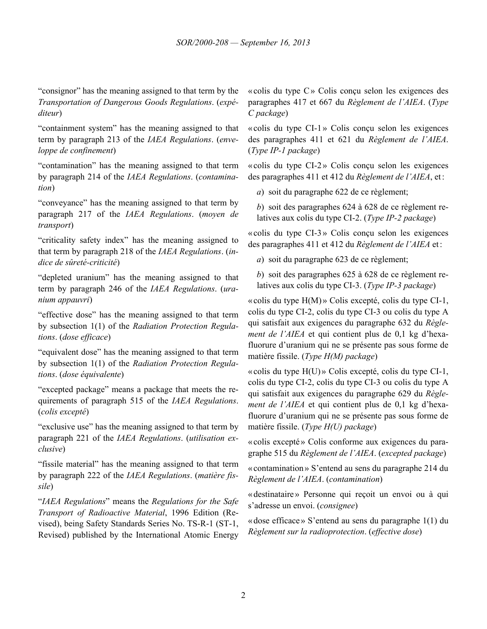"consignor" has the meaning assigned to that term by the *Transportation of Dangerous Goods Regulations*. (*expéditeur*)

"containment system" has the meaning assigned to that term by paragraph 213 of the *IAEA Regulations*. (*enveloppe de confinement*)

"contamination" has the meaning assigned to that term by paragraph 214 of the *IAEA Regulations*. (*contamination*)

"conveyance" has the meaning assigned to that term by paragraph 217 of the *IAEA Regulations*. (*moyen de transport*)

"criticality safety index" has the meaning assigned to that term by paragraph 218 of the *IAEA Regulations*. (*indice de sûreté-criticité*)

"depleted uranium" has the meaning assigned to that term by paragraph 246 of the *IAEA Regulations*. (*uranium appauvri*)

"effective dose" has the meaning assigned to that term by subsection 1(1) of the *Radiation Protection Regulations*. (*dose efficace*)

"equivalent dose" has the meaning assigned to that term by subsection 1(1) of the *Radiation Protection Regulations*. (*dose équivalente*)

"excepted package" means a package that meets the requirements of paragraph 515 of the *IAEA Regulations*. (*colis excepté*)

"exclusive use" has the meaning assigned to that term by paragraph 221 of the *IAEA Regulations*. (*utilisation exclusive*)

"fissile material" has the meaning assigned to that term by paragraph 222 of the *IAEA Regulations*. (*matière fissile*)

"*IAEA Regulations*" means the *Regulations for the Safe Transport of Radioactive Material*, 1996 Edition (Revised), being Safety Standards Series No. TS-R-1 (ST-1, Revised) published by the International Atomic Energy «colis du type C» Colis conçu selon les exigences des paragraphes 417 et 667 du *Règlement de l'AIEA*. (*Type C package*)

«colis du type CI-1 » Colis conçu selon les exigences des paragraphes 411 et 621 du *Règlement de l'AIEA*. (*Type IP-1 package*)

«colis du type CI-2» Colis conçu selon les exigences des paragraphes 411 et 412 du *Règlement de l'AIEA*, et:

*a*) soit du paragraphe 622 de ce règlement;

*b*) soit des paragraphes 624 à 628 de ce règlement relatives aux colis du type CI-2. (*Type IP-2 package*)

«colis du type CI-3» Colis conçu selon les exigences des paragraphes 411 et 412 du *Règlement de l'AIEA* et:

*a*) soit du paragraphe 623 de ce règlement;

*b*) soit des paragraphes 625 à 628 de ce règlement relatives aux colis du type CI-3. (*Type IP-3 package*)

«colis du type H(M)» Colis excepté, colis du type CI-1, colis du type CI-2, colis du type CI-3 ou colis du type A qui satisfait aux exigences du paragraphe 632 du *Règlement de l'AIEA* et qui contient plus de 0,1 kg d'hexafluorure d'uranium qui ne se présente pas sous forme de matière fissile. (*Type H(M) package*)

«colis du type H(U) » Colis excepté, colis du type CI-1, colis du type CI-2, colis du type CI-3 ou colis du type A qui satisfait aux exigences du paragraphe 629 du *Règlement de l'AIEA* et qui contient plus de 0,1 kg d'hexafluorure d'uranium qui ne se présente pas sous forme de matière fissile. (*Type H(U) package*)

«colis excepté» Colis conforme aux exigences du paragraphe 515 du *Règlement de l'AIEA*. (*excepted package*)

«contamination» S'entend au sens du paragraphe 214 du *Règlement de l'AIEA*. (*contamination*)

«destinataire» Personne qui reçoit un envoi ou à qui s'adresse un envoi. (*consignee*)

«dose efficace» S'entend au sens du paragraphe 1(1) du *Règlement sur la radioprotection*. (*effective dose*)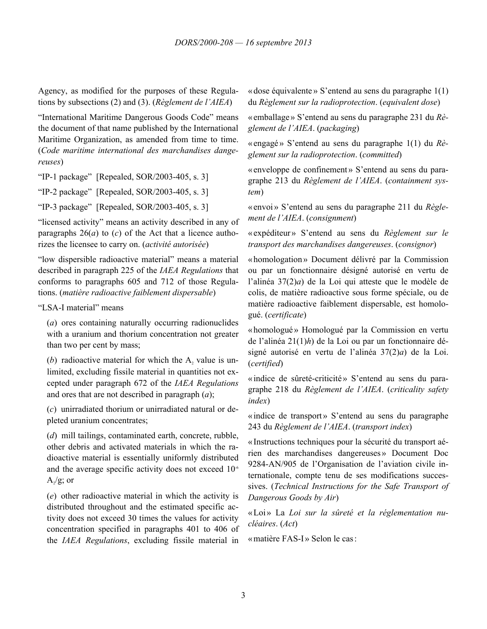Agency, as modified for the purposes of these Regulations by subsections (2) and (3). (*Règlement de l'AIEA*)

"International Maritime Dangerous Goods Code" means the document of that name published by the International Maritime Organization, as amended from time to time. (*Code maritime international des marchandises dangereuses*)

"IP-1 package" [Repealed, SOR/2003-405, s. 3]

"IP-2 package" [Repealed, SOR/2003-405, s. 3]

"IP-3 package" [Repealed, SOR/2003-405, s. 3]

"licensed activity" means an activity described in any of paragraphs  $26(a)$  to  $(c)$  of the Act that a licence authorizes the licensee to carry on. (*activité autorisée*)

"low dispersible radioactive material" means a material described in paragraph 225 of the *IAEA Regulations* that conforms to paragraphs 605 and 712 of those Regulations. (*matière radioactive faiblement dispersable*)

"LSA-I material" means

(*a*) ores containing naturally occurring radionuclides with a uranium and thorium concentration not greater than two per cent by mass;

(b) radioactive material for which the  $A_2$  value is unlimited, excluding fissile material in quantities not excepted under paragraph 672 of the *IAEA Regulations* and ores that are not described in paragraph (*a*);

(*c*) unirradiated thorium or unirradiated natural or depleted uranium concentrates;

(*d*) mill tailings, contaminated earth, concrete, rubble, other debris and activated materials in which the radioactive material is essentially uniformly distributed and the average specific activity does not exceed  $10<sup>6</sup>$  $A_2/g$ ; or

(*e*) other radioactive material in which the activity is distributed throughout and the estimated specific activity does not exceed 30 times the values for activity concentration specified in paragraphs 401 to 406 of the *IAEA Regulations*, excluding fissile material in

«dose équivalente » S'entend au sens du paragraphe 1(1) du *Règlement sur la radioprotection*. (*equivalent dose*)

«emballage» S'entend au sens du paragraphe 231 du *Règlement de l'AIEA*. (*packaging*)

«engagé » S'entend au sens du paragraphe 1(1) du *Règlement sur la radioprotection*. (*committed*)

«enveloppe de confinement» S'entend au sens du paragraphe 213 du *Règlement de l'AIEA*. (*containment system*)

«envoi» S'entend au sens du paragraphe 211 du *Règlement de l'AIEA*. (*consignment*)

«expéditeur» S'entend au sens du *Règlement sur le transport des marchandises dangereuses*. (*consignor*)

«homologation» Document délivré par la Commission ou par un fonctionnaire désigné autorisé en vertu de l'alinéa 37(2)*a*) de la Loi qui atteste que le modèle de colis, de matière radioactive sous forme spéciale, ou de matière radioactive faiblement dispersable, est homologué. (*certificate*)

«homologué» Homologué par la Commission en vertu de l'alinéa 21(1)*h*) de la Loi ou par un fonctionnaire désigné autorisé en vertu de l'alinéa 37(2)*a*) de la Loi. (*certified*)

«indice de sûreté-criticité» S'entend au sens du paragraphe 218 du *Règlement de l'AIEA*. (*criticality safety index*)

«indice de transport» S'entend au sens du paragraphe 243 du *Règlement de l'AIEA*. (*transport index*)

«Instructions techniques pour la sécurité du transport aérien des marchandises dangereuses» Document Doc 9284-AN/905 de l'Organisation de l'aviation civile internationale, compte tenu de ses modifications successives. (*Technical Instructions for the Safe Transport of Dangerous Goods by Air*)

«Loi» La *Loi sur la sûreté et la réglementation nucléaires*. (*Act*)

«matière FAS-I» Selon le cas: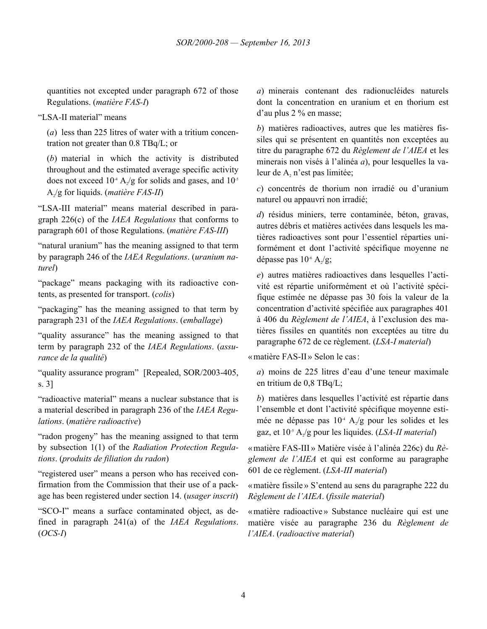quantities not excepted under paragraph 672 of those Regulations. (*matière FAS-I*)

"LSA-II material" means

(*a*) less than 225 litres of water with a tritium concentration not greater than 0.8 TBq/L; or

(*b*) material in which the activity is distributed throughout and the estimated average specific activity does not exceed  $10^4$  A<sub>2</sub>/g for solids and gases, and  $10^5$ A<sub>2</sub>/g for liquids. (*matière FAS-II*)

"LSA-III material" means material described in paragraph 226(c) of the *IAEA Regulations* that conforms to paragraph 601 of those Regulations. (*matière FAS-III*)

"natural uranium" has the meaning assigned to that term by paragraph 246 of the *IAEA Regulations*. (*uranium naturel*)

"package" means packaging with its radioactive contents, as presented for transport. (*colis*)

"packaging" has the meaning assigned to that term by paragraph 231 of the *IAEA Regulations*. (*emballage*)

"quality assurance" has the meaning assigned to that term by paragraph 232 of the *IAEA Regulations*. (*assurance de la qualité*)

"quality assurance program" [Repealed, SOR/2003-405, s. 3]

"radioactive material" means a nuclear substance that is a material described in paragraph 236 of the *IAEA Regulations*. (*matière radioactive*)

"radon progeny" has the meaning assigned to that term by subsection 1(1) of the *Radiation Protection Regulations*. (*produits de filiation du radon*)

"registered user" means a person who has received confirmation from the Commission that their use of a package has been registered under section 14. (*usager inscrit*)

"SCO-I" means a surface contaminated object, as defined in paragraph 241(a) of the *IAEA Regulations*. (*OCS-I*)

*a*) minerais contenant des radionucléides naturels dont la concentration en uranium et en thorium est d'au plus 2 % en masse;

*b*) matières radioactives, autres que les matières fissiles qui se présentent en quantités non exceptées au titre du paragraphe 672 du *Règlement de l'AIEA* et les minerais non visés à l'alinéa *a*), pour lesquelles la valeur de  $A_2$  n'est pas limitée;

*c*) concentrés de thorium non irradié ou d'uranium naturel ou appauvri non irradié;

*d*) résidus miniers, terre contaminée, béton, gravas, autres débris et matières activées dans lesquels les matières radioactives sont pour l'essentiel réparties uniformément et dont l'activité spécifique moyenne ne dépasse pas  $10<sup>-6</sup> A<sub>2</sub>/g$ ;

*e*) autres matières radioactives dans lesquelles l'activité est répartie uniformément et où l'activité spécifique estimée ne dépasse pas 30 fois la valeur de la concentration d'activité spécifiée aux paragraphes 401 à 406 du *Règlement de l'AIEA*, à l'exclusion des matières fissiles en quantités non exceptées au titre du paragraphe 672 de ce règlement. (*LSA-I material*)

«matière FAS-II» Selon le cas:

*a*) moins de 225 litres d'eau d'une teneur maximale en tritium de 0,8 TBq/L;

*b*) matières dans lesquelles l'activité est répartie dans l'ensemble et dont l'activité spécifique moyenne estimée ne dépasse pas  $10^4$  A<sub>2</sub>/g pour les solides et les gaz, et 10<sup>-5</sup> A<sub>2</sub>/g pour les liquides. (*LSA-II material*)

«matière FAS-III » Matière visée à l'alinéa 226c) du *Règlement de l'AIEA* et qui est conforme au paragraphe 601 de ce règlement. (*LSA-III material*)

«matière fissile » S'entend au sens du paragraphe 222 du *Règlement de l'AIEA*. (*fissile material*)

«matière radioactive» Substance nucléaire qui est une matière visée au paragraphe 236 du *Règlement de l'AIEA*. (*radioactive material*)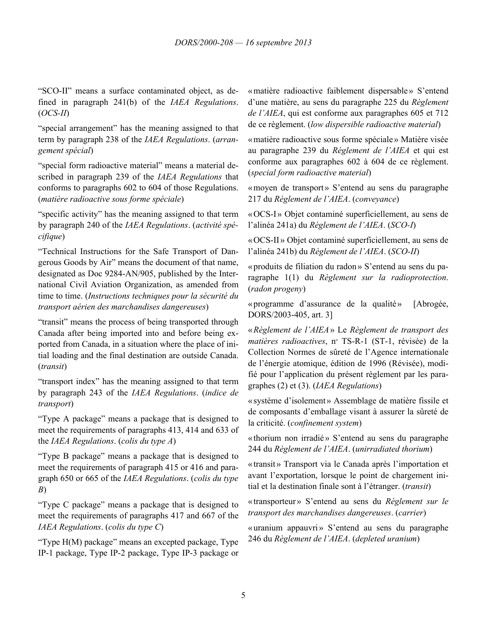"SCO-II" means a surface contaminated object, as defined in paragraph 241(b) of the *IAEA Regulations*. (*OCS-II*)

"special arrangement" has the meaning assigned to that term by paragraph 238 of the *IAEA Regulations*. (*arrangement spécial*)

"special form radioactive material" means a material described in paragraph 239 of the *IAEA Regulations* that conforms to paragraphs 602 to 604 of those Regulations. (*matière radioactive sous forme spéciale*)

"specific activity" has the meaning assigned to that term by paragraph 240 of the *IAEA Regulations*. (*activité spécifique*)

"Technical Instructions for the Safe Transport of Dangerous Goods by Air" means the document of that name, designated as Doc 9284-AN/905, published by the International Civil Aviation Organization, as amended from time to time. (*Instructions techniques pour la sécurité du transport aérien des marchandises dangereuses*)

"transit" means the process of being transported through Canada after being imported into and before being exported from Canada, in a situation where the place of initial loading and the final destination are outside Canada. (*transit*)

"transport index" has the meaning assigned to that term by paragraph 243 of the *IAEA Regulations*. (*indice de transport*)

"Type A package" means a package that is designed to meet the requirements of paragraphs 413, 414 and 633 of the *IAEA Regulations*. (*colis du type A*)

"Type B package" means a package that is designed to meet the requirements of paragraph 415 or 416 and paragraph 650 or 665 of the *IAEA Regulations*. (*colis du type B*)

"Type C package" means a package that is designed to meet the requirements of paragraphs 417 and 667 of the *IAEA Regulations*. (*colis du type C*)

"Type H(M) package" means an excepted package, Type IP-1 package, Type IP-2 package, Type IP-3 package or «matière radioactive faiblement dispersable» S'entend d'une matière, au sens du paragraphe 225 du *Règlement de l'AIEA*, qui est conforme aux paragraphes 605 et 712 de ce règlement. (*low dispersible radioactive material*)

«matière radioactive sous forme spéciale» Matière visée au paragraphe 239 du *Règlement de l'AIEA* et qui est conforme aux paragraphes 602 à 604 de ce règlement. (*special form radioactive material*)

«moyen de transport» S'entend au sens du paragraphe 217 du *Règlement de l'AIEA*. (*conveyance*)

«OCS-I» Objet contaminé superficiellement, au sens de l'alinéa 241a) du *Règlement de l'AIEA*. (*SCO-I*)

«OCS-II » Objet contaminé superficiellement, au sens de l'alinéa 241b) du *Règlement de l'AIEA*. (*SCO-II*)

«produits de filiation du radon » S'entend au sens du paragraphe 1(1) du *Règlement sur la radioprotection*. (*radon progeny*)

«programme d'assurance de la qualité» [Abrogée, DORS/2003-405, art. 3]

«*Règlement de l'AIEA*» Le *Règlement de transport des* matières radioactives, n° TS-R-1 (ST-1, révisée) de la Collection Normes de sûreté de l'Agence internationale de l'énergie atomique, édition de 1996 (Révisée), modifié pour l'application du présent règlement par les paragraphes (2) et (3). (*IAEA Regulations*)

«système d'isolement» Assemblage de matière fissile et de composants d'emballage visant à assurer la sûreté de la criticité. (*confinement system*)

«thorium non irradié» S'entend au sens du paragraphe 244 du *Règlement de l'AIEA*. (*unirradiated thorium*)

«transit» Transport via le Canada après l'importation et avant l'exportation, lorsque le point de chargement initial et la destination finale sont à l'étranger. (*transit*)

«transporteur» S'entend au sens du *Règlement sur le transport des marchandises dangereuses*. (*carrier*)

« uranium appauvri» S'entend au sens du paragraphe 246 du *Règlement de l'AIEA*. (*depleted uranium*)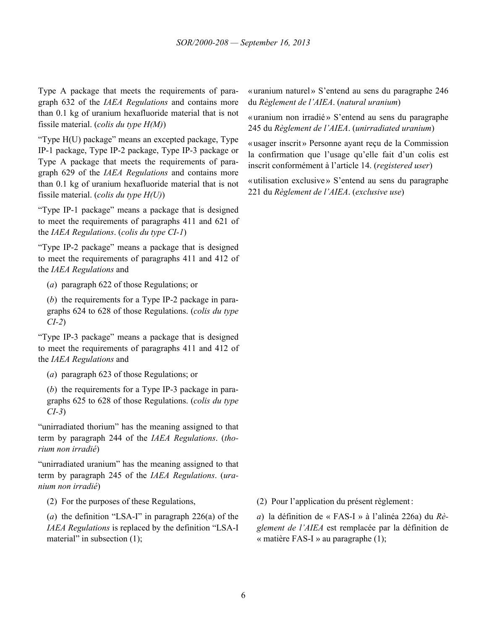Type A package that meets the requirements of paragraph 632 of the *IAEA Regulations* and contains more than 0.1 kg of uranium hexafluoride material that is not fissile material. (*colis du type H(M)*)

"Type H(U) package" means an excepted package, Type IP-1 package, Type IP-2 package, Type IP-3 package or Type A package that meets the requirements of paragraph 629 of the *IAEA Regulations* and contains more than 0.1 kg of uranium hexafluoride material that is not fissile material. (*colis du type H(U)*)

"Type IP-1 package" means a package that is designed to meet the requirements of paragraphs 411 and 621 of the *IAEA Regulations*. (*colis du type CI-1*)

"Type IP-2 package" means a package that is designed to meet the requirements of paragraphs 411 and 412 of the *IAEA Regulations* and

(*a*) paragraph 622 of those Regulations; or

(*b*) the requirements for a Type IP-2 package in paragraphs 624 to 628 of those Regulations. (*colis du type CI-2*)

"Type IP-3 package" means a package that is designed to meet the requirements of paragraphs 411 and 412 of the *IAEA Regulations* and

(*a*) paragraph 623 of those Regulations; or

(*b*) the requirements for a Type IP-3 package in paragraphs 625 to 628 of those Regulations. (*colis du type CI-3*)

"unirradiated thorium" has the meaning assigned to that term by paragraph 244 of the *IAEA Regulations*. (*thorium non irradié*)

"unirradiated uranium" has the meaning assigned to that term by paragraph 245 of the *IAEA Regulations*. (*uranium non irradié*)

(2) For the purposes of these Regulations,

(*a*) the definition "LSA-I" in paragraph 226(a) of the *IAEA Regulations* is replaced by the definition "LSA-I material" in subsection (1);

«uranium naturel» S'entend au sens du paragraphe 246 du *Règlement de l'AIEA*. (*natural uranium*)

«uranium non irradié» S'entend au sens du paragraphe 245 du *Règlement de l'AIEA*. (*unirradiated uranium*)

«usager inscrit » Personne ayant reçu de la Commission la confirmation que l'usage qu'elle fait d'un colis est inscrit conformément à l'article 14. (*registered user*)

«utilisation exclusive» S'entend au sens du paragraphe 221 du *Règlement de l'AIEA*. (*exclusive use*)

(2) Pour l'application du présent règlement:

*a*) la définition de « FAS-I » à l'alinéa 226a) du *Règlement de l'AIEA* est remplacée par la définition de « matière FAS-I » au paragraphe (1);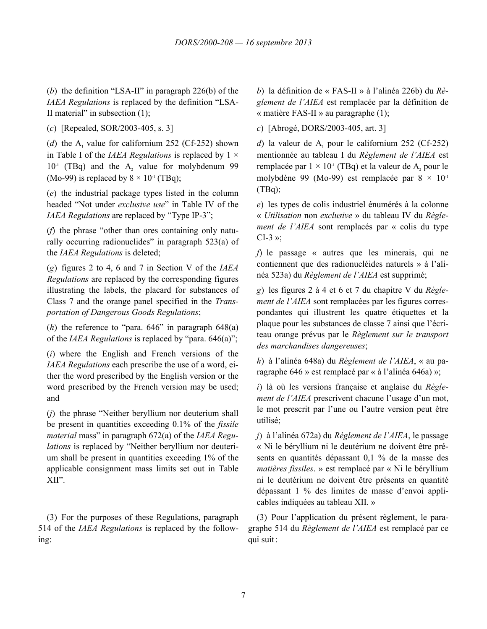(*b*) the definition "LSA-II" in paragraph 226(b) of the *IAEA Regulations* is replaced by the definition "LSA-II material" in subsection (1);

(*c*) [Repealed, SOR/2003-405, s. 3]

(*d*) the  $A_1$  value for californium 252 (Cf-252) shown in Table I of the *IAEA Regulations* is replaced by 1 ×  $10<sup>-1</sup>$  (TBq) and the A<sub>2</sub> value for molybdenum 99 (Mo-99) is replaced by  $8 \times 10^{1}$  (TBq);

(*e*) the industrial package types listed in the column headed "Not under *exclusive use*" in Table IV of the *IAEA Regulations* are replaced by "Type IP-3";

(*f*) the phrase "other than ores containing only naturally occurring radionuclides" in paragraph 523(a) of the *IAEA Regulations* is deleted;

(*g*) figures 2 to 4, 6 and 7 in Section V of the *IAEA Regulations* are replaced by the corresponding figures illustrating the labels, the placard for substances of Class 7 and the orange panel specified in the *Transportation of Dangerous Goods Regulations*;

(*h*) the reference to "para. 646" in paragraph 648(a) of the *IAEA Regulations* is replaced by "para. 646(a)";

(*i*) where the English and French versions of the *IAEA Regulations* each prescribe the use of a word, either the word prescribed by the English version or the word prescribed by the French version may be used; and

(*j*) the phrase "Neither beryllium nor deuterium shall be present in quantities exceeding 0.1% of the *fissile material* mass" in paragraph 672(a) of the *IAEA Regulations* is replaced by "Neither beryllium nor deuterium shall be present in quantities exceeding 1% of the applicable consignment mass limits set out in Table XII".

(3) For the purposes of these Regulations, paragraph 514 of the *IAEA Regulations* is replaced by the following:

*b*) la définition de « FAS-II » à l'alinéa 226b) du *Règlement de l'AIEA* est remplacée par la définition de « matière FAS-II » au paragraphe (1);

*c*) [Abrogé, DORS/2003-405, art. 3]

 $d$ ) la valeur de A<sub>1</sub> pour le californium 252 (Cf-252) mentionnée au tableau I du *Règlement de l'AIEA* est remplacée par  $1 \times 10^{1}$  (TBq) et la valeur de A<sub>2</sub> pour le molybdène 99 (Mo-99) est remplacée par  $8 \times 10^{-1}$  $(TBq);$ 

*e*) les types de colis industriel énumérés à la colonne « *Utilisation* non *exclusive* » du tableau IV du *Règlement de l'AIEA* sont remplacés par « colis du type  $CI-3 \times$ ;

*f*) le passage « autres que les minerais, qui ne contiennent que des radionucléides naturels » à l'alinéa 523a) du *Règlement de l'AIEA* est supprimé;

*g*) les figures 2 à 4 et 6 et 7 du chapitre V du *Règlement de l'AIEA* sont remplacées par les figures correspondantes qui illustrent les quatre étiquettes et la plaque pour les substances de classe 7 ainsi que l'écriteau orange prévus par le *Règlement sur le transport des marchandises dangereuses*;

*h*) à l'alinéa 648a) du *Règlement de l'AIEA*, « au paragraphe 646 » est remplacé par « à l'alinéa 646a) »;

*i*) là où les versions française et anglaise du *Règlement de l'AIEA* prescrivent chacune l'usage d'un mot, le mot prescrit par l'une ou l'autre version peut être utilisé;

*j*) à l'alinéa 672a) du *Règlement de l'AIEA*, le passage « Ni le béryllium ni le deutérium ne doivent être présents en quantités dépassant 0,1 % de la masse des *matières fissiles*. » est remplacé par « Ni le béryllium ni le deutérium ne doivent être présents en quantité dépassant 1 % des limites de masse d'envoi applicables indiquées au tableau XII. »

(3) Pour l'application du présent règlement, le paragraphe 514 du *Règlement de l'AIEA* est remplacé par ce qui suit: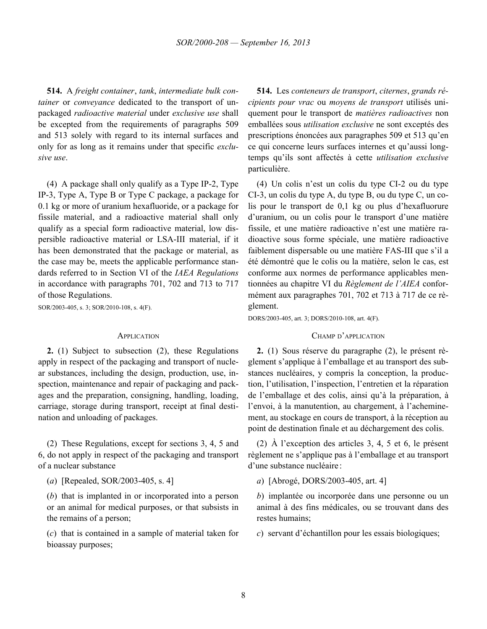<span id="page-12-0"></span>**514.** A *freight container*, *tank*, *intermediate bulk container* or *conveyance* dedicated to the transport of unpackaged *radioactive material* under *exclusive use* shall be excepted from the requirements of paragraphs 509 and 513 solely with regard to its internal surfaces and only for as long as it remains under that specific *exclusive use*.

(4) A package shall only qualify as a Type IP-2, Type IP-3, Type A, Type B or Type C package, a package for 0.1 kg or more of uranium hexafluoride, or a package for fissile material, and a radioactive material shall only qualify as a special form radioactive material, low dispersible radioactive material or LSA-III material, if it has been demonstrated that the package or material, as the case may be, meets the applicable performance standards referred to in Section VI of the *IAEA Regulations* in accordance with paragraphs 701, 702 and 713 to 717 of those Regulations.

SOR/2003-405, s. 3; SOR/2010-108, s. 4(F).

**2.** (1) Subject to subsection (2), these Regulations apply in respect of the packaging and transport of nuclear substances, including the design, production, use, inspection, maintenance and repair of packaging and packages and the preparation, consigning, handling, loading, carriage, storage during transport, receipt at final destination and unloading of packages.

(2) These Regulations, except for sections 3, 4, 5 and 6, do not apply in respect of the packaging and transport of a nuclear substance

(*a*) [Repealed, SOR/2003-405, s. 4]

(*b*) that is implanted in or incorporated into a person or an animal for medical purposes, or that subsists in the remains of a person;

(*c*) that is contained in a sample of material taken for bioassay purposes;

**514.** Les *conteneurs de transport*, *citernes*, *grands récipients pour vrac* ou *moyens de transport* utilisés uniquement pour le transport de *matières radioactives* non emballées sous *utilisation exclusive* ne sont exceptés des prescriptions énoncées aux paragraphes 509 et 513 qu'en ce qui concerne leurs surfaces internes et qu'aussi longtemps qu'ils sont affectés à cette *utilisation exclusive* particulière.

(4) Un colis n'est un colis du type CI-2 ou du type CI-3, un colis du type A, du type B, ou du type C, un colis pour le transport de 0,1 kg ou plus d'hexafluorure d'uranium, ou un colis pour le transport d'une matière fissile, et une matière radioactive n'est une matière radioactive sous forme spéciale, une matière radioactive faiblement dispersable ou une matière FAS-III que s'il a été démontré que le colis ou la matière, selon le cas, est conforme aux normes de performance applicables mentionnées au chapitre VI du *Règlement de l'AIEA* conformément aux paragraphes 701, 702 et 713 à 717 de ce règlement.

DORS/2003-405, art. 3; DORS/2010-108, art. 4(F).

### APPLICATION CHAMP D'APPLICATION

**2.** (1) Sous réserve du paragraphe (2), le présent règlement s'applique à l'emballage et au transport des substances nucléaires, y compris la conception, la production, l'utilisation, l'inspection, l'entretien et la réparation de l'emballage et des colis, ainsi qu'à la préparation, à l'envoi, à la manutention, au chargement, à l'acheminement, au stockage en cours de transport, à la réception au point de destination finale et au déchargement des colis.

(2) À l'exception des articles 3, 4, 5 et 6, le présent règlement ne s'applique pas à l'emballage et au transport d'une substance nucléaire :

*a*) [Abrogé, DORS/2003-405, art. 4]

*b*) implantée ou incorporée dans une personne ou un animal à des fins médicales, ou se trouvant dans des restes humains;

*c*) servant d'échantillon pour les essais biologiques;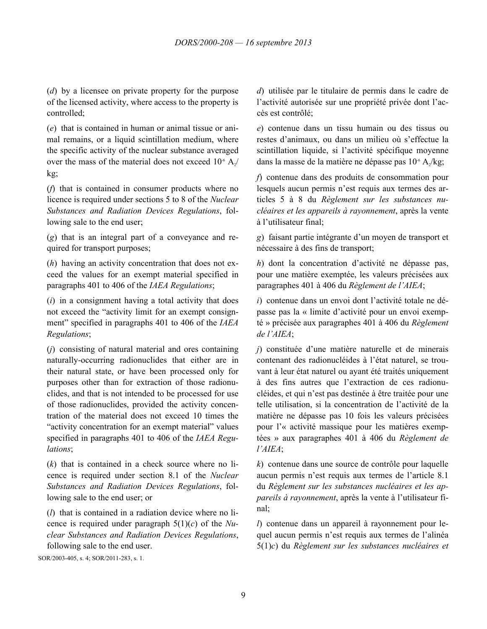(*d*) by a licensee on private property for the purpose of the licensed activity, where access to the property is controlled;

(*e*) that is contained in human or animal tissue or animal remains, or a liquid scintillation medium, where the specific activity of the nuclear substance averaged over the mass of the material does not exceed  $10^6$  A<sub>2</sub>/ kg;

(*f*) that is contained in consumer products where no licence is required under sections 5 to 8 of the *Nuclear Substances and Radiation Devices Regulations*, following sale to the end user;

(*g*) that is an integral part of a conveyance and required for transport purposes;

(*h*) having an activity concentration that does not exceed the values for an exempt material specified in paragraphs 401 to 406 of the *IAEA Regulations*;

(*i*) in a consignment having a total activity that does not exceed the "activity limit for an exempt consignment" specified in paragraphs 401 to 406 of the *IAEA Regulations*;

(*j*) consisting of natural material and ores containing naturally-occurring radionuclides that either are in their natural state, or have been processed only for purposes other than for extraction of those radionuclides, and that is not intended to be processed for use of those radionuclides, provided the activity concentration of the material does not exceed 10 times the "activity concentration for an exempt material" values specified in paragraphs 401 to 406 of the *IAEA Regulations*;

(*k*) that is contained in a check source where no licence is required under section 8.1 of the *Nuclear Substances and Radiation Devices Regulations*, following sale to the end user; or

(*l*) that is contained in a radiation device where no licence is required under paragraph 5(1)(*c*) of the *Nuclear Substances and Radiation Devices Regulations*, following sale to the end user.

SOR/2003-405, s. 4; SOR/2011-283, s. 1.

*d*) utilisée par le titulaire de permis dans le cadre de l'activité autorisée sur une propriété privée dont l'accès est contrôlé;

*e*) contenue dans un tissu humain ou des tissus ou restes d'animaux, ou dans un milieu où s'effectue la scintillation liquide, si l'activité spécifique moyenne dans la masse de la matière ne dépasse pas  $10<sup>6</sup> A<sub>2</sub>/kg$ ;

*f*) contenue dans des produits de consommation pour lesquels aucun permis n'est requis aux termes des articles 5 à 8 du *Règlement sur les substances nucléaires et les appareils à rayonnement*, après la vente à l'utilisateur final;

*g*) faisant partie intégrante d'un moyen de transport et nécessaire à des fins de transport;

*h*) dont la concentration d'activité ne dépasse pas, pour une matière exemptée, les valeurs précisées aux paragraphes 401 à 406 du *Règlement de l'AIEA*;

*i*) contenue dans un envoi dont l'activité totale ne dépasse pas la « limite d'activité pour un envoi exempté » précisée aux paragraphes 401 à 406 du *Règlement de l'AIEA*;

*j*) constituée d'une matière naturelle et de minerais contenant des radionucléides à l'état naturel, se trouvant à leur état naturel ou ayant été traités uniquement à des fins autres que l'extraction de ces radionucléides, et qui n'est pas destinée à être traitée pour une telle utilisation, si la concentration de l'activité de la matière ne dépasse pas 10 fois les valeurs précisées pour l'« activité massique pour les matières exemptées » aux paragraphes 401 à 406 du *Règlement de l'AIEA*;

*k*) contenue dans une source de contrôle pour laquelle aucun permis n'est requis aux termes de l'article 8.1 du *Règlement sur les substances nucléaires et les appareils à rayonnement*, après la vente à l'utilisateur final;

*l*) contenue dans un appareil à rayonnement pour lequel aucun permis n'est requis aux termes de l'alinéa 5(1)*c*) du *Règlement sur les substances nucléaires et*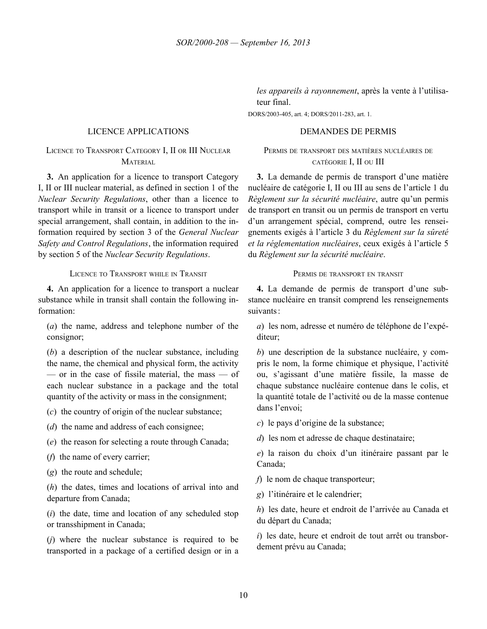### LICENCE APPLICATIONS DEMANDES DE PERMIS

# <span id="page-14-0"></span>LICENCE TO TRANSPORT CATEGORY I, II OR III NUCLEAR **MATERIAL**

**3.** An application for a licence to transport Category I, II or III nuclear material, as defined in section 1 of the *Nuclear Security Regulations*, other than a licence to transport while in transit or a licence to transport under special arrangement, shall contain, in addition to the information required by section 3 of the *General Nuclear Safety and Control Regulations*, the information required by section 5 of the *Nuclear Security Regulations*.

# LICENCE TO TRANSPORT WHILE IN TRANSIT PERMIS DE TRANSPORT EN TRANSIT

**4.** An application for a licence to transport a nuclear substance while in transit shall contain the following information:

(*a*) the name, address and telephone number of the consignor;

(*b*) a description of the nuclear substance, including the name, the chemical and physical form, the activity — or in the case of fissile material, the mass — of each nuclear substance in a package and the total quantity of the activity or mass in the consignment;

(*c*) the country of origin of the nuclear substance;

- (*d*) the name and address of each consignee;
- (*e*) the reason for selecting a route through Canada;
- (*f*) the name of every carrier;
- (*g*) the route and schedule;

(*h*) the dates, times and locations of arrival into and departure from Canada;

(*i*) the date, time and location of any scheduled stop or transshipment in Canada;

(*j*) where the nuclear substance is required to be transported in a package of a certified design or in a *les appareils à rayonnement*, après la vente à l'utilisateur final.

DORS/2003-405, art. 4; DORS/2011-283, art. 1.

# PERMIS DE TRANSPORT DES MATIÈRES NUCLÉAIRES DE CATÉGORIE I, II OU III

**3.** La demande de permis de transport d'une matière nucléaire de catégorie I, II ou III au sens de l'article 1 du *Règlement sur la sécurité nucléaire*, autre qu'un permis de transport en transit ou un permis de transport en vertu d'un arrangement spécial, comprend, outre les renseignements exigés à l'article 3 du *Règlement sur la sûreté et la réglementation nucléaires*, ceux exigés à l'article 5 du *Règlement sur la sécurité nucléaire*.

**4.** La demande de permis de transport d'une substance nucléaire en transit comprend les renseignements suivants:

*a*) les nom, adresse et numéro de téléphone de l'expéditeur;

*b*) une description de la substance nucléaire, y compris le nom, la forme chimique et physique, l'activité ou, s'agissant d'une matière fissile, la masse de chaque substance nucléaire contenue dans le colis, et la quantité totale de l'activité ou de la masse contenue dans l'envoi;

*c*) le pays d'origine de la substance;

*d*) les nom et adresse de chaque destinataire;

*e*) la raison du choix d'un itinéraire passant par le Canada;

*f*) le nom de chaque transporteur;

*g*) l'itinéraire et le calendrier;

*h*) les date, heure et endroit de l'arrivée au Canada et du départ du Canada;

*i*) les date, heure et endroit de tout arrêt ou transbordement prévu au Canada;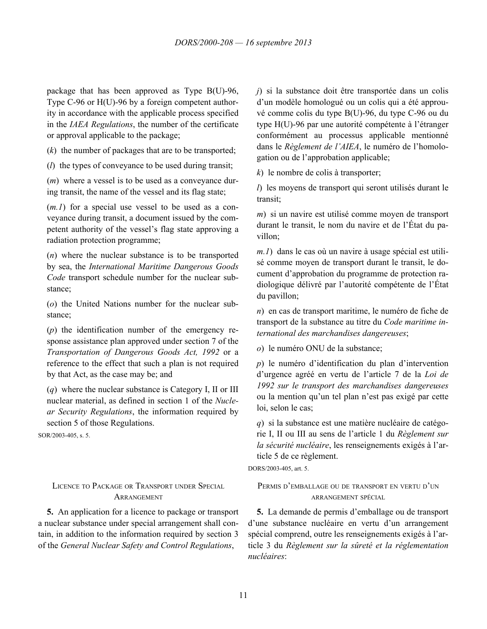<span id="page-15-0"></span>package that has been approved as Type B(U)-96, Type C-96 or H(U)-96 by a foreign competent authority in accordance with the applicable process specified in the *IAEA Regulations*, the number of the certificate or approval applicable to the package;

(*k*) the number of packages that are to be transported;

(*l*) the types of conveyance to be used during transit;

(*m*) where a vessel is to be used as a conveyance during transit, the name of the vessel and its flag state;

(*m.1*) for a special use vessel to be used as a conveyance during transit, a document issued by the competent authority of the vessel's flag state approving a radiation protection programme;

(*n*) where the nuclear substance is to be transported by sea, the *International Maritime Dangerous Goods Code* transport schedule number for the nuclear substance;

(*o*) the United Nations number for the nuclear substance;

(*p*) the identification number of the emergency response assistance plan approved under section 7 of the *Transportation of Dangerous Goods Act, 1992* or a reference to the effect that such a plan is not required by that Act, as the case may be; and

(*q*) where the nuclear substance is Category I, II or III nuclear material, as defined in section 1 of the *Nuclear Security Regulations*, the information required by section 5 of those Regulations.

SOR/2003-405, s. 5.

# LICENCE TO PACKAGE OR TRANSPORT UNDER SPECIAL **ARRANGEMENT**

**5.** An application for a licence to package or transport a nuclear substance under special arrangement shall contain, in addition to the information required by section 3 of the *General Nuclear Safety and Control Regulations*,

*j*) si la substance doit être transportée dans un colis d'un modèle homologué ou un colis qui a été approuvé comme colis du type B(U)-96, du type C-96 ou du type H(U)-96 par une autorité compétente à l'étranger conformément au processus applicable mentionné dans le *Règlement de l'AIEA*, le numéro de l'homologation ou de l'approbation applicable;

*k*) le nombre de colis à transporter;

*l*) les moyens de transport qui seront utilisés durant le transit;

*m*) si un navire est utilisé comme moyen de transport durant le transit, le nom du navire et de l'État du pavillon;

*m.1*) dans le cas où un navire à usage spécial est utilisé comme moyen de transport durant le transit, le document d'approbation du programme de protection radiologique délivré par l'autorité compétente de l'État du pavillon;

*n*) en cas de transport maritime, le numéro de fiche de transport de la substance au titre du *Code maritime international des marchandises dangereuses*;

*o*) le numéro ONU de la substance;

*p*) le numéro d'identification du plan d'intervention d'urgence agréé en vertu de l'article 7 de la *Loi de 1992 sur le transport des marchandises dangereuses* ou la mention qu'un tel plan n'est pas exigé par cette loi, selon le cas;

*q*) si la substance est une matière nucléaire de catégorie I, II ou III au sens de l'article 1 du *Règlement sur la sécurité nucléaire*, les renseignements exigés à l'article 5 de ce règlement.

DORS/2003-405, art. 5.

# PERMIS <sup>D</sup>'EMBALLAGE OU DE TRANSPORT EN VERTU <sup>D</sup>'UN ARRANGEMENT SPÉCIAL

**5.** La demande de permis d'emballage ou de transport d'une substance nucléaire en vertu d'un arrangement spécial comprend, outre les renseignements exigés à l'article 3 du *Règlement sur la sûreté et la réglementation nucléaires*: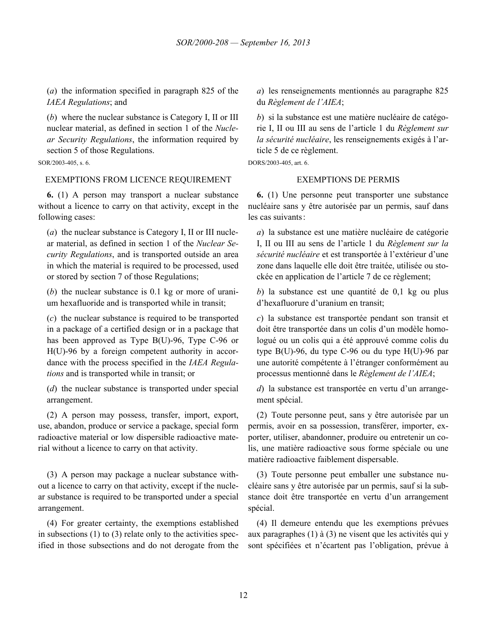<span id="page-16-0"></span>(*a*) the information specified in paragraph 825 of the *IAEA Regulations*; and

(*b*) where the nuclear substance is Category I, II or III nuclear material, as defined in section 1 of the *Nuclear Security Regulations*, the information required by section 5 of those Regulations.

SOR/2003-405, s. 6.

### EXEMPTIONS FROM LICENCE REQUIREMENT EXEMPTIONS DE PERMIS

**6.** (1) A person may transport a nuclear substance without a licence to carry on that activity, except in the following cases:

(*a*) the nuclear substance is Category I, II or III nuclear material, as defined in section 1 of the *Nuclear Security Regulations*, and is transported outside an area in which the material is required to be processed, used or stored by section 7 of those Regulations;

(*b*) the nuclear substance is 0.1 kg or more of uranium hexafluoride and is transported while in transit;

(*c*) the nuclear substance is required to be transported in a package of a certified design or in a package that has been approved as Type B(U)-96, Type C-96 or H(U)-96 by a foreign competent authority in accordance with the process specified in the *IAEA Regulations* and is transported while in transit; or

(*d*) the nuclear substance is transported under special arrangement.

(2) A person may possess, transfer, import, export, use, abandon, produce or service a package, special form radioactive material or low dispersible radioactive material without a licence to carry on that activity.

(3) A person may package a nuclear substance without a licence to carry on that activity, except if the nuclear substance is required to be transported under a special arrangement.

(4) For greater certainty, the exemptions established in subsections (1) to (3) relate only to the activities specified in those subsections and do not derogate from the

*a*) les renseignements mentionnés au paragraphe 825 du *Règlement de l'AIEA*;

*b*) si la substance est une matière nucléaire de catégorie I, II ou III au sens de l'article 1 du *Règlement sur la sécurité nucléaire*, les renseignements exigés à l'article 5 de ce règlement.

DORS/2003-405, art. 6.

**6.** (1) Une personne peut transporter une substance nucléaire sans y être autorisée par un permis, sauf dans les cas suivants:

*a*) la substance est une matière nucléaire de catégorie I, II ou III au sens de l'article 1 du *Règlement sur la sécurité nucléaire* et est transportée à l'extérieur d'une zone dans laquelle elle doit être traitée, utilisée ou stockée en application de l'article 7 de ce règlement;

*b*) la substance est une quantité de 0,1 kg ou plus d'hexafluorure d'uranium en transit;

*c*) la substance est transportée pendant son transit et doit être transportée dans un colis d'un modèle homologué ou un colis qui a été approuvé comme colis du type B(U)-96, du type C-96 ou du type H(U)-96 par une autorité compétente à l'étranger conformément au processus mentionné dans le *Règlement de l'AIEA*;

*d*) la substance est transportée en vertu d'un arrangement spécial.

(2) Toute personne peut, sans y être autorisée par un permis, avoir en sa possession, transférer, importer, exporter, utiliser, abandonner, produire ou entretenir un colis, une matière radioactive sous forme spéciale ou une matière radioactive faiblement dispersable.

(3) Toute personne peut emballer une substance nucléaire sans y être autorisée par un permis, sauf si la substance doit être transportée en vertu d'un arrangement spécial.

(4) Il demeure entendu que les exemptions prévues aux paragraphes (1) à (3) ne visent que les activités qui y sont spécifiées et n'écartent pas l'obligation, prévue à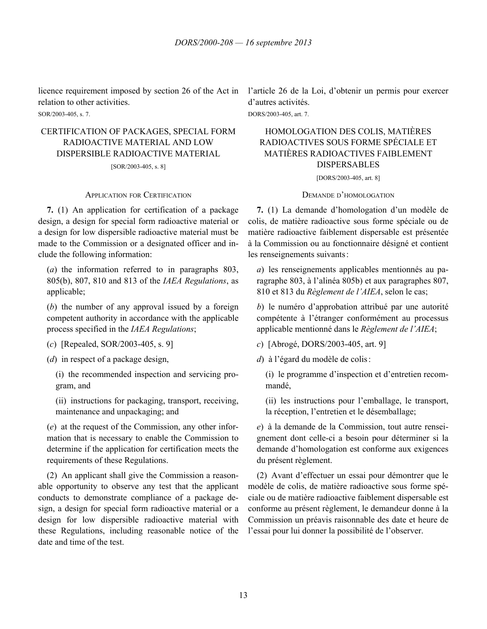<span id="page-17-0"></span>licence requirement imposed by section 26 of the Act in relation to other activities.

SOR/2003-405, s. 7.

# CERTIFICATION OF PACKAGES, SPECIAL FORM RADIOACTIVE MATERIAL AND LOW DISPERSIBLE RADIOACTIVE MATERIAL

[SOR/2003-405, s. 8]

### APPLICATION FOR CERTIFICATION DEMANDE D'HOMOLOGATION

**7.** (1) An application for certification of a package design, a design for special form radioactive material or a design for low dispersible radioactive material must be made to the Commission or a designated officer and include the following information:

(*a*) the information referred to in paragraphs 803, 805(b), 807, 810 and 813 of the *IAEA Regulations*, as applicable;

(*b*) the number of any approval issued by a foreign competent authority in accordance with the applicable process specified in the *IAEA Regulations*;

(*c*) [Repealed, SOR/2003-405, s. 9]

(*d*) in respect of a package design,

(i) the recommended inspection and servicing program, and

(ii) instructions for packaging, transport, receiving, maintenance and unpackaging; and

(*e*) at the request of the Commission, any other information that is necessary to enable the Commission to determine if the application for certification meets the requirements of these Regulations.

(2) An applicant shall give the Commission a reasonable opportunity to observe any test that the applicant conducts to demonstrate compliance of a package design, a design for special form radioactive material or a design for low dispersible radioactive material with these Regulations, including reasonable notice of the date and time of the test.

l'article 26 de la Loi, d'obtenir un permis pour exercer d'autres activités. DORS/2003-405, art. 7.

# HOMOLOGATION DES COLIS, MATIÈRES RADIOACTIVES SOUS FORME SPÉCIALE ET MATIÈRES RADIOACTIVES FAIBLEMENT DISPERSABLES

[DORS/2003-405, art. 8]

**7.** (1) La demande d'homologation d'un modèle de colis, de matière radioactive sous forme spéciale ou de matière radioactive faiblement dispersable est présentée à la Commission ou au fonctionnaire désigné et contient les renseignements suivants:

*a*) les renseignements applicables mentionnés au paragraphe 803, à l'alinéa 805b) et aux paragraphes 807, 810 et 813 du *Règlement de l'AIEA*, selon le cas;

*b*) le numéro d'approbation attribué par une autorité compétente à l'étranger conformément au processus applicable mentionné dans le *Règlement de l'AIEA*;

*c*) [Abrogé, DORS/2003-405, art. 9]

*d*) à l'égard du modèle de colis:

(i) le programme d'inspection et d'entretien recommandé,

(ii) les instructions pour l'emballage, le transport, la réception, l'entretien et le désemballage;

*e*) à la demande de la Commission, tout autre renseignement dont celle-ci a besoin pour déterminer si la demande d'homologation est conforme aux exigences du présent règlement.

(2) Avant d'effectuer un essai pour démontrer que le modèle de colis, de matière radioactive sous forme spéciale ou de matière radioactive faiblement dispersable est conforme au présent règlement, le demandeur donne à la Commission un préavis raisonnable des date et heure de l'essai pour lui donner la possibilité de l'observer.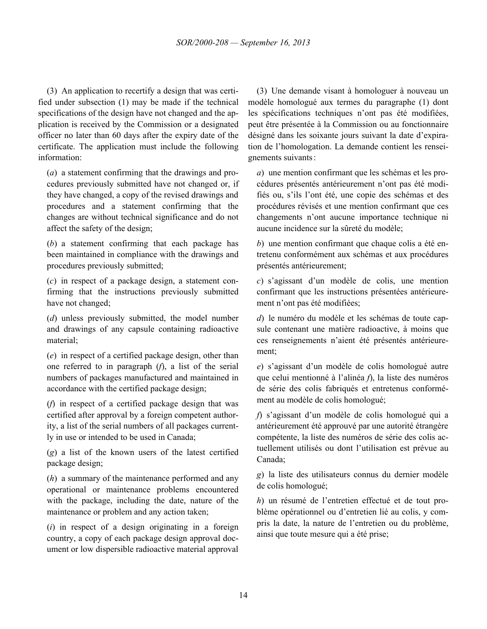(3) An application to recertify a design that was certified under subsection (1) may be made if the technical specifications of the design have not changed and the application is received by the Commission or a designated officer no later than 60 days after the expiry date of the certificate. The application must include the following information:

(*a*) a statement confirming that the drawings and procedures previously submitted have not changed or, if they have changed, a copy of the revised drawings and procedures and a statement confirming that the changes are without technical significance and do not affect the safety of the design;

(*b*) a statement confirming that each package has been maintained in compliance with the drawings and procedures previously submitted;

(*c*) in respect of a package design, a statement confirming that the instructions previously submitted have not changed;

(*d*) unless previously submitted, the model number and drawings of any capsule containing radioactive material;

(*e*) in respect of a certified package design, other than one referred to in paragraph (*f*), a list of the serial numbers of packages manufactured and maintained in accordance with the certified package design;

(*f*) in respect of a certified package design that was certified after approval by a foreign competent authority, a list of the serial numbers of all packages currently in use or intended to be used in Canada;

(*g*) a list of the known users of the latest certified package design;

(*h*) a summary of the maintenance performed and any operational or maintenance problems encountered with the package, including the date, nature of the maintenance or problem and any action taken;

(*i*) in respect of a design originating in a foreign country, a copy of each package design approval document or low dispersible radioactive material approval

(3) Une demande visant à homologuer à nouveau un modèle homologué aux termes du paragraphe (1) dont les spécifications techniques n'ont pas été modifiées, peut être présentée à la Commission ou au fonctionnaire désigné dans les soixante jours suivant la date d'expiration de l'homologation. La demande contient les renseignements suivants:

*a*) une mention confirmant que les schémas et les procédures présentés antérieurement n'ont pas été modifiés ou, s'ils l'ont été, une copie des schémas et des procédures révisés et une mention confirmant que ces changements n'ont aucune importance technique ni aucune incidence sur la sûreté du modèle;

*b*) une mention confirmant que chaque colis a été entretenu conformément aux schémas et aux procédures présentés antérieurement;

*c*) s'agissant d'un modèle de colis, une mention confirmant que les instructions présentées antérieurement n'ont pas été modifiées;

*d*) le numéro du modèle et les schémas de toute capsule contenant une matière radioactive, à moins que ces renseignements n'aient été présentés antérieurement;

*e*) s'agissant d'un modèle de colis homologué autre que celui mentionné à l'alinéa *f*), la liste des numéros de série des colis fabriqués et entretenus conformément au modèle de colis homologué;

*f*) s'agissant d'un modèle de colis homologué qui a antérieurement été approuvé par une autorité étrangère compétente, la liste des numéros de série des colis actuellement utilisés ou dont l'utilisation est prévue au Canada;

*g*) la liste des utilisateurs connus du dernier modèle de colis homologué;

*h*) un résumé de l'entretien effectué et de tout problème opérationnel ou d'entretien lié au colis, y compris la date, la nature de l'entretien ou du problème, ainsi que toute mesure qui a été prise;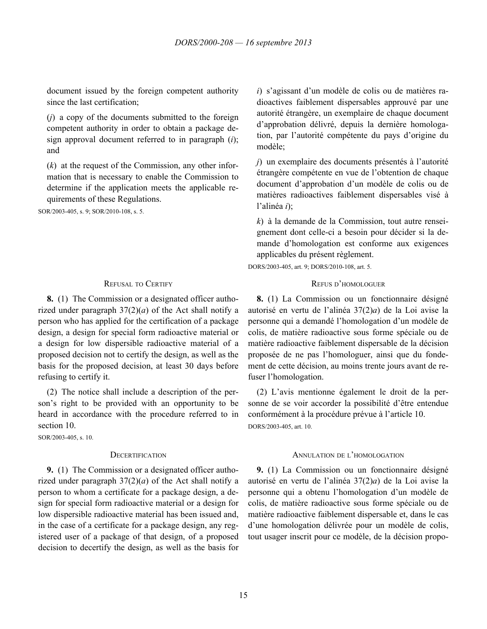<span id="page-19-0"></span>document issued by the foreign competent authority since the last certification;

(*j*) a copy of the documents submitted to the foreign competent authority in order to obtain a package design approval document referred to in paragraph (*i*); and

(*k*) at the request of the Commission, any other information that is necessary to enable the Commission to determine if the application meets the applicable requirements of these Regulations.

SOR/2003-405, s. 9; SOR/2010-108, s. 5.

### REFUSAL TO CERTIFY **REFUS** D'HOMOLOGUER

**8.** (1) The Commission or a designated officer authorized under paragraph  $37(2)(a)$  of the Act shall notify a person who has applied for the certification of a package design, a design for special form radioactive material or a design for low dispersible radioactive material of a proposed decision not to certify the design, as well as the basis for the proposed decision, at least 30 days before refusing to certify it.

(2) The notice shall include a description of the person's right to be provided with an opportunity to be heard in accordance with the procedure referred to in section 10.

SOR/2003-405, s. 10.

**9.** (1) The Commission or a designated officer authorized under paragraph  $37(2)(a)$  of the Act shall notify a person to whom a certificate for a package design, a design for special form radioactive material or a design for low dispersible radioactive material has been issued and, in the case of a certificate for a package design, any registered user of a package of that design, of a proposed decision to decertify the design, as well as the basis for *i*) s'agissant d'un modèle de colis ou de matières radioactives faiblement dispersables approuvé par une autorité étrangère, un exemplaire de chaque document d'approbation délivré, depuis la dernière homologation, par l'autorité compétente du pays d'origine du modèle;

*j*) un exemplaire des documents présentés à l'autorité étrangère compétente en vue de l'obtention de chaque document d'approbation d'un modèle de colis ou de matières radioactives faiblement dispersables visé à l'alinéa *i*);

*k*) à la demande de la Commission, tout autre renseignement dont celle-ci a besoin pour décider si la demande d'homologation est conforme aux exigences applicables du présent règlement.

DORS/2003-405, art. 9; DORS/2010-108, art. 5.

**8.** (1) La Commission ou un fonctionnaire désigné autorisé en vertu de l'alinéa 37(2)*a*) de la Loi avise la personne qui a demandé l'homologation d'un modèle de colis, de matière radioactive sous forme spéciale ou de matière radioactive faiblement dispersable de la décision proposée de ne pas l'homologuer, ainsi que du fondement de cette décision, au moins trente jours avant de refuser l'homologation.

(2) L'avis mentionne également le droit de la personne de se voir accorder la possibilité d'être entendue conformément à la procédure prévue à l'article 10. DORS/2003-405, art. 10.

### DECERTIFICATION ANNULATION DE <sup>L</sup>'HOMOLOGATION

**9.** (1) La Commission ou un fonctionnaire désigné autorisé en vertu de l'alinéa 37(2)*a*) de la Loi avise la personne qui a obtenu l'homologation d'un modèle de colis, de matière radioactive sous forme spéciale ou de matière radioactive faiblement dispersable et, dans le cas d'une homologation délivrée pour un modèle de colis, tout usager inscrit pour ce modèle, de la décision propo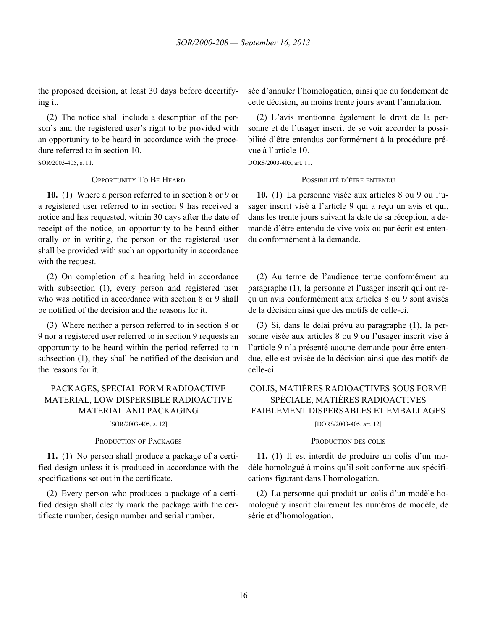<span id="page-20-0"></span>the proposed decision, at least 30 days before decertifying it.

(2) The notice shall include a description of the person's and the registered user's right to be provided with an opportunity to be heard in accordance with the procedure referred to in section 10.

SOR/2003-405, s. 11.

OPPORTUNITY TO BE HEARD POSSIBILITÉ D'ÊTRE ENTENDU

**10.** (1) Where a person referred to in section 8 or 9 or a registered user referred to in section 9 has received a notice and has requested, within 30 days after the date of receipt of the notice, an opportunity to be heard either orally or in writing, the person or the registered user shall be provided with such an opportunity in accordance with the request.

(2) On completion of a hearing held in accordance with subsection (1), every person and registered user who was notified in accordance with section 8 or 9 shall be notified of the decision and the reasons for it.

(3) Where neither a person referred to in section 8 or 9 nor a registered user referred to in section 9 requests an opportunity to be heard within the period referred to in subsection (1), they shall be notified of the decision and the reasons for it.

# PACKAGES, SPECIAL FORM RADIOACTIVE MATERIAL, LOW DISPERSIBLE RADIOACTIVE MATERIAL AND PACKAGING

[SOR/2003-405, s. 12]

# PRODUCTION OF PACKAGES PRODUCTION DES COLIS

**11.** (1) No person shall produce a package of a certified design unless it is produced in accordance with the specifications set out in the certificate.

(2) Every person who produces a package of a certified design shall clearly mark the package with the certificate number, design number and serial number.

sée d'annuler l'homologation, ainsi que du fondement de cette décision, au moins trente jours avant l'annulation.

(2) L'avis mentionne également le droit de la personne et de l'usager inscrit de se voir accorder la possibilité d'être entendus conformément à la procédure prévue à l'article 10.

DORS/2003-405, art. 11.

**10.** (1) La personne visée aux articles 8 ou 9 ou l'usager inscrit visé à l'article 9 qui a reçu un avis et qui, dans les trente jours suivant la date de sa réception, a demandé d'être entendu de vive voix ou par écrit est entendu conformément à la demande.

(2) Au terme de l'audience tenue conformément au paragraphe (1), la personne et l'usager inscrit qui ont reçu un avis conformément aux articles 8 ou 9 sont avisés de la décision ainsi que des motifs de celle-ci.

(3) Si, dans le délai prévu au paragraphe (1), la personne visée aux articles 8 ou 9 ou l'usager inscrit visé à l'article 9 n'a présenté aucune demande pour être entendue, elle est avisée de la décision ainsi que des motifs de celle-ci.

# COLIS, MATIÈRES RADIOACTIVES SOUS FORME SPÉCIALE, MATIÈRES RADIOACTIVES FAIBLEMENT DISPERSABLES ET EMBALLAGES

[DORS/2003-405, art. 12]

**11.** (1) Il est interdit de produire un colis d'un modèle homologué à moins qu'il soit conforme aux spécifications figurant dans l'homologation.

(2) La personne qui produit un colis d'un modèle homologué y inscrit clairement les numéros de modèle, de série et d'homologation.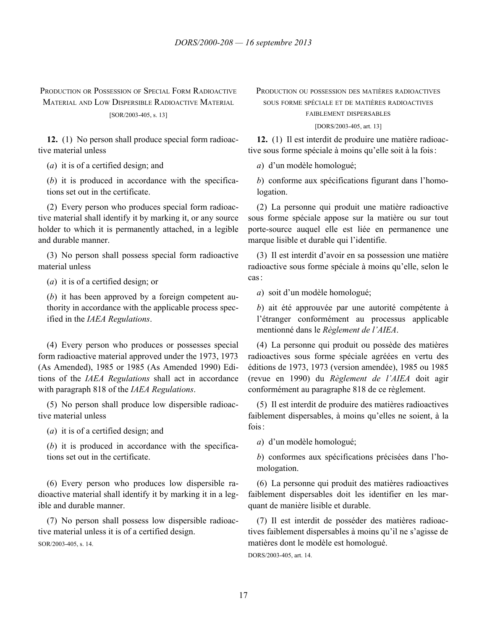<span id="page-21-0"></span>PRODUCTION OR POSSESSION OF SPECIAL FORM RADIOACTIVE MATERIAL AND LOW DISPERSIBLE RADIOACTIVE MATERIAL

[SOR/2003-405, s. 13]

**12.** (1) No person shall produce special form radioactive material unless

(*a*) it is of a certified design; and

(*b*) it is produced in accordance with the specifications set out in the certificate.

(2) Every person who produces special form radioactive material shall identify it by marking it, or any source holder to which it is permanently attached, in a legible and durable manner.

(3) No person shall possess special form radioactive material unless

(*a*) it is of a certified design; or

(*b*) it has been approved by a foreign competent authority in accordance with the applicable process specified in the *IAEA Regulations*.

(4) Every person who produces or possesses special form radioactive material approved under the 1973, 1973 (As Amended), 1985 or 1985 (As Amended 1990) Editions of the *IAEA Regulations* shall act in accordance with paragraph 818 of the *IAEA Regulations*.

(5) No person shall produce low dispersible radioactive material unless

(*a*) it is of a certified design; and

(*b*) it is produced in accordance with the specifications set out in the certificate.

(6) Every person who produces low dispersible radioactive material shall identify it by marking it in a legible and durable manner.

(7) No person shall possess low dispersible radioactive material unless it is of a certified design. SOR/2003-405, s. 14.

PRODUCTION OU POSSESSION DES MATIÈRES RADIOACTIVES

# SOUS FORME SPÉCIALE ET DE MATIÈRES RADIOACTIVES

FAIBLEMENT DISPERSABLES [DORS/2003-405, art. 13]

**12.** (1) Il est interdit de produire une matière radioactive sous forme spéciale à moins qu'elle soit à la fois:

*a*) d'un modèle homologué;

*b*) conforme aux spécifications figurant dans l'homologation.

(2) La personne qui produit une matière radioactive sous forme spéciale appose sur la matière ou sur tout porte-source auquel elle est liée en permanence une marque lisible et durable qui l'identifie.

(3) Il est interdit d'avoir en sa possession une matière radioactive sous forme spéciale à moins qu'elle, selon le cas:

*a*) soit d'un modèle homologué;

*b*) ait été approuvée par une autorité compétente à l'étranger conformément au processus applicable mentionné dans le *Règlement de l'AIEA*.

(4) La personne qui produit ou possède des matières radioactives sous forme spéciale agréées en vertu des éditions de 1973, 1973 (version amendée), 1985 ou 1985 (revue en 1990) du *Règlement de l'AIEA* doit agir conformément au paragraphe 818 de ce règlement.

(5) Il est interdit de produire des matières radioactives faiblement dispersables, à moins qu'elles ne soient, à la fois:

*a*) d'un modèle homologué;

*b*) conformes aux spécifications précisées dans l'homologation.

(6) La personne qui produit des matières radioactives faiblement dispersables doit les identifier en les marquant de manière lisible et durable.

(7) Il est interdit de posséder des matières radioactives faiblement dispersables à moins qu'il ne s'agisse de matières dont le modèle est homologué.

DORS/2003-405, art. 14.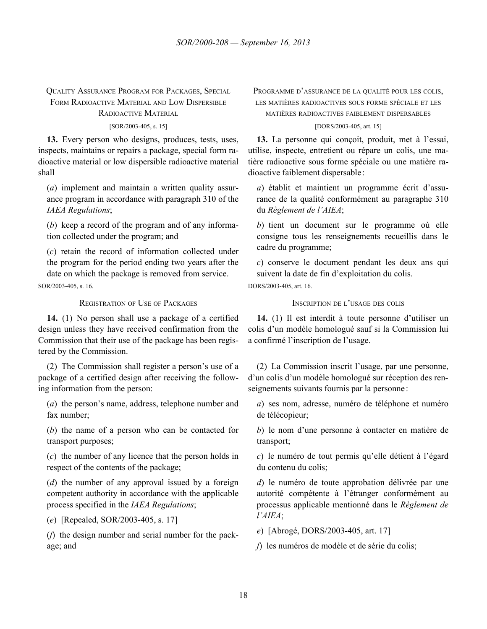<span id="page-22-0"></span>QUALITY ASSURANCE PROGRAM FOR PACKAGES, SPECIAL FORM RADIOACTIVE MATERIAL AND LOW DISPERSIBLE

RADIOACTIVE MATERIAL

# [SOR/2003-405, s. 15]

**13.** Every person who designs, produces, tests, uses, inspects, maintains or repairs a package, special form radioactive material or low dispersible radioactive material shall

(*a*) implement and maintain a written quality assurance program in accordance with paragraph 310 of the *IAEA Regulations*;

(*b*) keep a record of the program and of any information collected under the program; and

(*c*) retain the record of information collected under the program for the period ending two years after the date on which the package is removed from service.

SOR/2003-405, s. 16.

REGISTRATION OF USE OF PACKAGES **INSCRIPTION DE L'USAGE DES COLIS** 

**14.** (1) No person shall use a package of a certified design unless they have received confirmation from the Commission that their use of the package has been registered by the Commission.

(2) The Commission shall register a person's use of a package of a certified design after receiving the following information from the person:

(*a*) the person's name, address, telephone number and fax number;

(*b*) the name of a person who can be contacted for transport purposes;

(*c*) the number of any licence that the person holds in respect of the contents of the package;

(*d*) the number of any approval issued by a foreign competent authority in accordance with the applicable process specified in the *IAEA Regulations*;

(*e*) [Repealed, SOR/2003-405, s. 17]

(*f*) the design number and serial number for the package; and

PROGRAMME D'ASSURANCE DE LA QUALITÉ POUR LES COLIS, LES MATIÈRES RADIOACTIVES SOUS FORME SPÉCIALE ET LES

MATIÈRES RADIOACTIVES FAIBLEMENT DISPERSABLES

### [DORS/2003-405, art. 15]

**13.** La personne qui conçoit, produit, met à l'essai, utilise, inspecte, entretient ou répare un colis, une matière radioactive sous forme spéciale ou une matière radioactive faiblement dispersable :

*a*) établit et maintient un programme écrit d'assurance de la qualité conformément au paragraphe 310 du *Règlement de l'AIEA*;

*b*) tient un document sur le programme où elle consigne tous les renseignements recueillis dans le cadre du programme;

*c*) conserve le document pendant les deux ans qui suivent la date de fin d'exploitation du colis.

DORS/2003-405, art. 16.

**14.** (1) Il est interdit à toute personne d'utiliser un colis d'un modèle homologué sauf si la Commission lui a confirmé l'inscription de l'usage.

(2) La Commission inscrit l'usage, par une personne, d'un colis d'un modèle homologué sur réception des renseignements suivants fournis par la personne :

*a*) ses nom, adresse, numéro de téléphone et numéro de télécopieur;

*b*) le nom d'une personne à contacter en matière de transport;

*c*) le numéro de tout permis qu'elle détient à l'égard du contenu du colis;

*d*) le numéro de toute approbation délivrée par une autorité compétente à l'étranger conformément au processus applicable mentionné dans le *Règlement de l'AIEA*;

*e*) [Abrogé, DORS/2003-405, art. 17]

*f*) les numéros de modèle et de série du colis;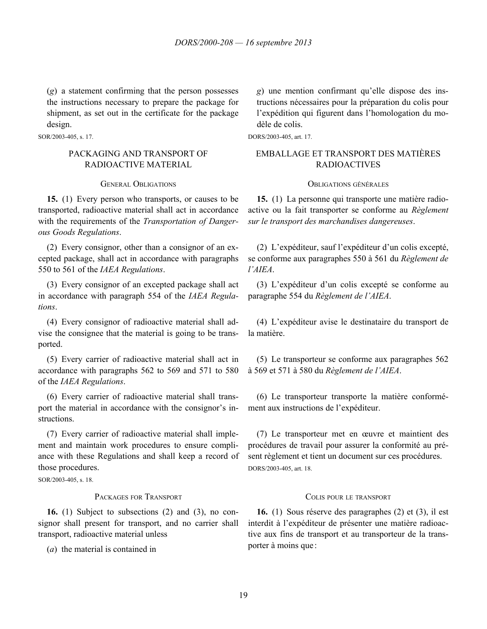<span id="page-23-0"></span>(*g*) a statement confirming that the person possesses the instructions necessary to prepare the package for shipment, as set out in the certificate for the package design.

SOR/2003-405, s. 17.

# PACKAGING AND TRANSPORT OF RADIOACTIVE MATERIAL

**15.** (1) Every person who transports, or causes to be transported, radioactive material shall act in accordance with the requirements of the *Transportation of Dangerous Goods Regulations*.

(2) Every consignor, other than a consignor of an excepted package, shall act in accordance with paragraphs 550 to 561 of the *IAEA Regulations*.

(3) Every consignor of an excepted package shall act in accordance with paragraph 554 of the *IAEA Regulations*.

(4) Every consignor of radioactive material shall advise the consignee that the material is going to be transported.

(5) Every carrier of radioactive material shall act in accordance with paragraphs 562 to 569 and 571 to 580 of the *IAEA Regulations*.

(6) Every carrier of radioactive material shall transport the material in accordance with the consignor's instructions.

(7) Every carrier of radioactive material shall implement and maintain work procedures to ensure compliance with these Regulations and shall keep a record of those procedures.

SOR/2003-405, s. 18.

**16.** (1) Subject to subsections (2) and (3), no consignor shall present for transport, and no carrier shall transport, radioactive material unless

(*a*) the material is contained in

*g*) une mention confirmant qu'elle dispose des instructions nécessaires pour la préparation du colis pour l'expédition qui figurent dans l'homologation du modèle de colis.

DORS/2003-405, art. 17.

# EMBALLAGE ET TRANSPORT DES MATIÈRES RADIOACTIVES

## GENERAL OBLIGATIONS OBLIGATIONS GÉNÉRALES

**15.** (1) La personne qui transporte une matière radioactive ou la fait transporter se conforme au *Règlement sur le transport des marchandises dangereuses*.

(2) L'expéditeur, sauf l'expéditeur d'un colis excepté, se conforme aux paragraphes 550 à 561 du *Règlement de l'AIEA*.

(3) L'expéditeur d'un colis excepté se conforme au paragraphe 554 du *Règlement de l'AIEA*.

(4) L'expéditeur avise le destinataire du transport de la matière.

(5) Le transporteur se conforme aux paragraphes 562 à 569 et 571 à 580 du *Règlement de l'AIEA*.

(6) Le transporteur transporte la matière conformément aux instructions de l'expéditeur.

(7) Le transporteur met en œuvre et maintient des procédures de travail pour assurer la conformité au présent règlement et tient un document sur ces procédures. DORS/2003-405, art. 18.

### PACKAGES FOR TRANSPORT COLLIS POUR LE TRANSPORT

**16.** (1) Sous réserve des paragraphes (2) et (3), il est interdit à l'expéditeur de présenter une matière radioactive aux fins de transport et au transporteur de la transporter à moins que :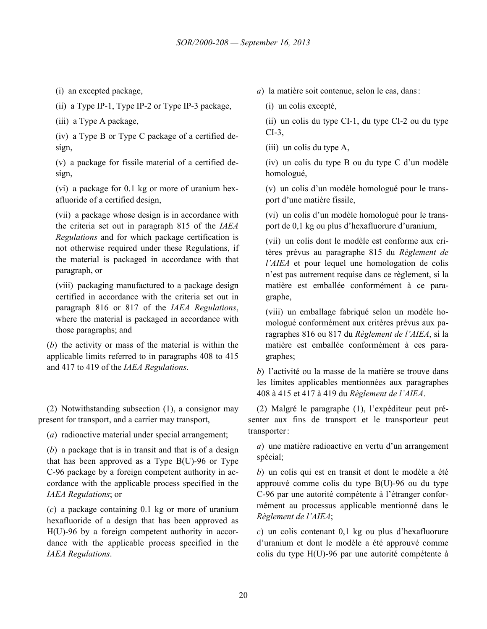(i) an excepted package,

(ii) a Type IP-1, Type IP-2 or Type IP-3 package,

(iii) a Type A package,

(iv) a Type B or Type C package of a certified design,

(v) a package for fissile material of a certified design,

(vi) a package for 0.1 kg or more of uranium hexafluoride of a certified design,

(vii) a package whose design is in accordance with the criteria set out in paragraph 815 of the *IAEA Regulations* and for which package certification is not otherwise required under these Regulations, if the material is packaged in accordance with that paragraph, or

(viii) packaging manufactured to a package design certified in accordance with the criteria set out in paragraph 816 or 817 of the *IAEA Regulations*, where the material is packaged in accordance with those paragraphs; and

(*b*) the activity or mass of the material is within the applicable limits referred to in paragraphs 408 to 415 and 417 to 419 of the *IAEA Regulations*.

(2) Notwithstanding subsection (1), a consignor may present for transport, and a carrier may transport,

(*a*) radioactive material under special arrangement;

(*b*) a package that is in transit and that is of a design that has been approved as a Type B(U)-96 or Type C-96 package by a foreign competent authority in accordance with the applicable process specified in the *IAEA Regulations*; or

(*c*) a package containing 0.1 kg or more of uranium hexafluoride of a design that has been approved as H(U)-96 by a foreign competent authority in accordance with the applicable process specified in the *IAEA Regulations*.

*a*) la matière soit contenue, selon le cas, dans:

(i) un colis excepté,

(ii) un colis du type CI-1, du type CI-2 ou du type CI-3,

(iii) un colis du type A,

(iv) un colis du type B ou du type C d'un modèle homologué,

(v) un colis d'un modèle homologué pour le transport d'une matière fissile,

(vi) un colis d'un modèle homologué pour le transport de 0,1 kg ou plus d'hexafluorure d'uranium,

(vii) un colis dont le modèle est conforme aux critères prévus au paragraphe 815 du *Règlement de l'AIEA* et pour lequel une homologation de colis n'est pas autrement requise dans ce règlement, si la matière est emballée conformément à ce paragraphe,

(viii) un emballage fabriqué selon un modèle homologué conformément aux critères prévus aux paragraphes 816 ou 817 du *Règlement de l'AIEA*, si la matière est emballée conformément à ces paragraphes;

*b*) l'activité ou la masse de la matière se trouve dans les limites applicables mentionnées aux paragraphes 408 à 415 et 417 à 419 du *Règlement de l'AIEA*.

(2) Malgré le paragraphe (1), l'expéditeur peut présenter aux fins de transport et le transporteur peut transporter:

*a*) une matière radioactive en vertu d'un arrangement spécial;

*b*) un colis qui est en transit et dont le modèle a été approuvé comme colis du type B(U)-96 ou du type C-96 par une autorité compétente à l'étranger conformément au processus applicable mentionné dans le *Règlement de l'AIEA*;

*c*) un colis contenant 0,1 kg ou plus d'hexafluorure d'uranium et dont le modèle a été approuvé comme colis du type H(U)-96 par une autorité compétente à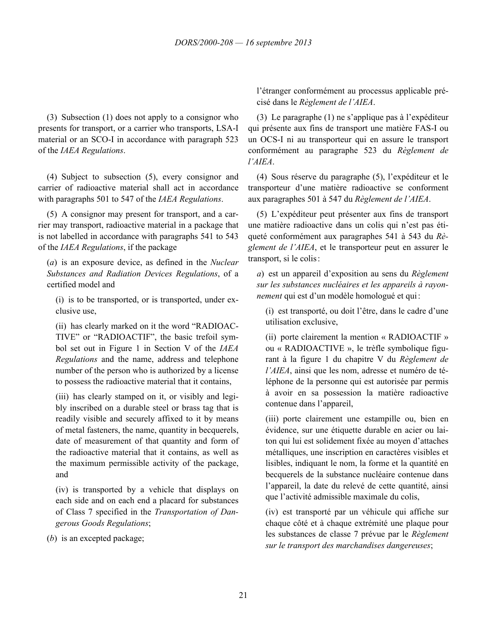(3) Subsection (1) does not apply to a consignor who presents for transport, or a carrier who transports, LSA-I material or an SCO-I in accordance with paragraph 523 of the *IAEA Regulations*.

(4) Subject to subsection (5), every consignor and carrier of radioactive material shall act in accordance with paragraphs 501 to 547 of the *IAEA Regulations*.

(5) A consignor may present for transport, and a carrier may transport, radioactive material in a package that is not labelled in accordance with paragraphs 541 to 543 of the *IAEA Regulations*, if the package

(*a*) is an exposure device, as defined in the *Nuclear Substances and Radiation Devices Regulations*, of a certified model and

(i) is to be transported, or is transported, under exclusive use,

(ii) has clearly marked on it the word "RADIOAC-TIVE" or "RADIOACTIF", the basic trefoil symbol set out in Figure 1 in Section V of the *IAEA Regulations* and the name, address and telephone number of the person who is authorized by a license to possess the radioactive material that it contains,

(iii) has clearly stamped on it, or visibly and legibly inscribed on a durable steel or brass tag that is readily visible and securely affixed to it by means of metal fasteners, the name, quantity in becquerels, date of measurement of that quantity and form of the radioactive material that it contains, as well as the maximum permissible activity of the package, and

(iv) is transported by a vehicle that displays on each side and on each end a placard for substances of Class 7 specified in the *Transportation of Dangerous Goods Regulations*;

(*b*) is an excepted package;

l'étranger conformément au processus applicable précisé dans le *Règlement de l'AIEA*.

(3) Le paragraphe (1) ne s'applique pas à l'expéditeur qui présente aux fins de transport une matière FAS-I ou un OCS-I ni au transporteur qui en assure le transport conformément au paragraphe 523 du *Règlement de l'AIEA*.

(4) Sous réserve du paragraphe (5), l'expéditeur et le transporteur d'une matière radioactive se conforment aux paragraphes 501 à 547 du *Règlement de l'AIEA*.

(5) L'expéditeur peut présenter aux fins de transport une matière radioactive dans un colis qui n'est pas étiqueté conformément aux paragraphes 541 à 543 du *Règlement de l'AIEA*, et le transporteur peut en assurer le transport, si le colis:

*a*) est un appareil d'exposition au sens du *Règlement sur les substances nucléaires et les appareils à rayonnement* qui est d'un modèle homologué et qui:

(i) est transporté, ou doit l'être, dans le cadre d'une utilisation exclusive,

(ii) porte clairement la mention « RADIOACTIF » ou « RADIOACTIVE », le trèfle symbolique figurant à la figure 1 du chapitre V du *Règlement de l'AIEA*, ainsi que les nom, adresse et numéro de téléphone de la personne qui est autorisée par permis à avoir en sa possession la matière radioactive contenue dans l'appareil,

(iii) porte clairement une estampille ou, bien en évidence, sur une étiquette durable en acier ou laiton qui lui est solidement fixée au moyen d'attaches métalliques, une inscription en caractères visibles et lisibles, indiquant le nom, la forme et la quantité en becquerels de la substance nucléaire contenue dans l'appareil, la date du relevé de cette quantité, ainsi que l'activité admissible maximale du colis,

(iv) est transporté par un véhicule qui affiche sur chaque côté et à chaque extrémité une plaque pour les substances de classe 7 prévue par le *Règlement sur le transport des marchandises dangereuses*;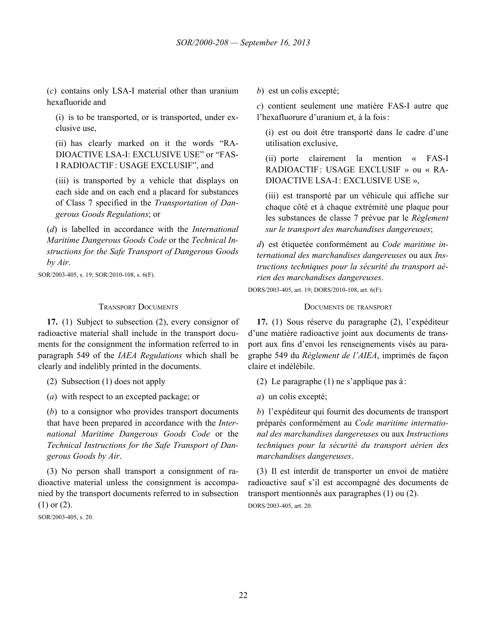<span id="page-26-0"></span>(*c*) contains only LSA-I material other than uranium hexafluoride and

(i) is to be transported, or is transported, under exclusive use,

(ii) has clearly marked on it the words "RA-DIOACTIVE LSA-I: EXCLUSIVE USE" or "FAS-I RADIOACTIF: USAGE EXCLUSIF", and

(iii) is transported by a vehicle that displays on each side and on each end a placard for substances of Class 7 specified in the *Transportation of Dangerous Goods Regulations*; or

(*d*) is labelled in accordance with the *International Maritime Dangerous Goods Code* or the *Technical Instructions for the Safe Transport of Dangerous Goods by Air*.

SOR/2003-405, s. 19; SOR/2010-108, s. 6(F).

**17.** (1) Subject to subsection (2), every consignor of radioactive material shall include in the transport documents for the consignment the information referred to in paragraph 549 of the *IAEA Regulations* which shall be clearly and indelibly printed in the documents.

(2) Subsection (1) does not apply

(*a*) with respect to an excepted package; or

(*b*) to a consignor who provides transport documents that have been prepared in accordance with the *International Maritime Dangerous Goods Code* or the *Technical Instructions for the Safe Transport of Dangerous Goods by Air*.

(3) No person shall transport a consignment of radioactive material unless the consignment is accompanied by the transport documents referred to in subsection (1) or (2).

SOR/2003-405, s. 20.

*b*) est un colis excepté;

*c*) contient seulement une matière FAS-I autre que l'hexafluorure d'uranium et, à la fois:

(i) est ou doit être transporté dans le cadre d'une utilisation exclusive,

(ii) porte clairement la mention « FAS-I RADIOACTIF: USAGE EXCLUSIF » ou « RA-DIOACTIVE LSA-I: EXCLUSIVE USE »,

(iii) est transporté par un véhicule qui affiche sur chaque côté et à chaque extrémité une plaque pour les substances de classe 7 prévue par le *Règlement sur le transport des marchandises dangereuses*;

*d*) est étiquetée conformément au *Code maritime international des marchandises dangereuses* ou aux *Instructions techniques pour la sécurité du transport aérien des marchandises dangereuses*.

DORS/2003-405, art. 19; DORS/2010-108, art. 6(F).

# TRANSPORT DOCUMENTS DOCUMENTS DE TRANSPORT

**17.** (1) Sous réserve du paragraphe (2), l'expéditeur d'une matière radioactive joint aux documents de transport aux fins d'envoi les renseignements visés au paragraphe 549 du *Règlement de l'AIEA*, imprimés de façon claire et indélébile.

(2) Le paragraphe (1) ne s'applique pas à :

*a*) un colis excepté;

*b*) l'expéditeur qui fournit des documents de transport préparés conformément au *Code maritime international des marchandises dangereuses* ou aux *Instructions techniques pour la sécurité du transport aérien des marchandises dangereuses*.

(3) Il est interdit de transporter un envoi de matière radioactive sauf s'il est accompagné des documents de transport mentionnés aux paragraphes (1) ou (2). DORS/2003-405, art. 20.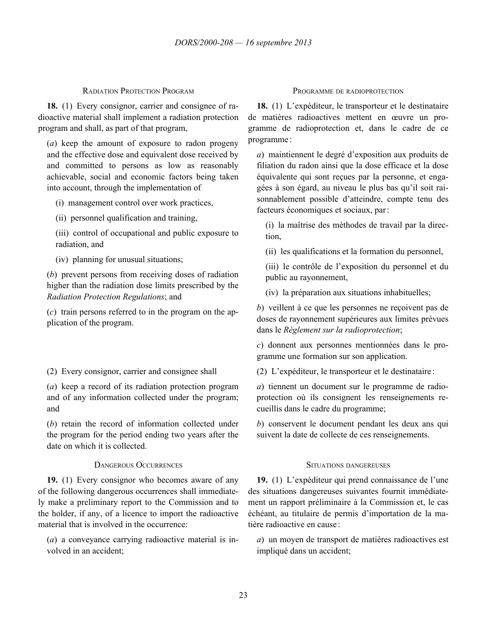# RADIATION PROTECTION PROGRAM PROGRAM PROGRAMME DE RADIOPROTECTION

<span id="page-27-0"></span>**18.** (1) Every consignor, carrier and consignee of radioactive material shall implement a radiation protection program and shall, as part of that program,

(*a*) keep the amount of exposure to radon progeny and the effective dose and equivalent dose received by and committed to persons as low as reasonably achievable, social and economic factors being taken into account, through the implementation of

(i) management control over work practices,

(ii) personnel qualification and training,

(iii) control of occupational and public exposure to radiation, and

(iv) planning for unusual situations;

(*b*) prevent persons from receiving doses of radiation higher than the radiation dose limits prescribed by the *Radiation Protection Regulations*; and

(*c*) train persons referred to in the program on the application of the program.

(2) Every consignor, carrier and consignee shall

(*a*) keep a record of its radiation protection program and of any information collected under the program; and

(*b*) retain the record of information collected under the program for the period ending two years after the date on which it is collected.

# DANGEROUS OCCURRENCES SITUATIONS DANGEREUSES

**19.** (1) Every consignor who becomes aware of any of the following dangerous occurrences shall immediately make a preliminary report to the Commission and to the holder, if any, of a licence to import the radioactive material that is involved in the occurrence:

(*a*) a conveyance carrying radioactive material is involved in an accident;

**18.** (1) L'expéditeur, le transporteur et le destinataire de matières radioactives mettent en œuvre un programme de radioprotection et, dans le cadre de ce programme :

*a*) maintiennent le degré d'exposition aux produits de filiation du radon ainsi que la dose efficace et la dose équivalente qui sont reçues par la personne, et engagées à son égard, au niveau le plus bas qu'il soit raisonnablement possible d'atteindre, compte tenu des facteurs économiques et sociaux, par:

(i) la maîtrise des méthodes de travail par la direction,

(ii) les qualifications et la formation du personnel,

(iii) le contrôle de l'exposition du personnel et du public au rayonnement,

(iv) la préparation aux situations inhabituelles;

*b*) veillent à ce que les personnes ne reçoivent pas de doses de rayonnement supérieures aux limites prévues dans le *Règlement sur la radioprotection*;

*c*) donnent aux personnes mentionnées dans le programme une formation sur son application.

(2) L'expéditeur, le transporteur et le destinataire :

*a*) tiennent un document sur le programme de radioprotection où ils consignent les renseignements recueillis dans le cadre du programme;

*b*) conservent le document pendant les deux ans qui suivent la date de collecte de ces renseignements.

**19.** (1) L'expéditeur qui prend connaissance de l'une des situations dangereuses suivantes fournit immédiatement un rapport préliminaire à la Commission et, le cas échéant, au titulaire de permis d'importation de la matière radioactive en cause :

*a*) un moyen de transport de matières radioactives est impliqué dans un accident;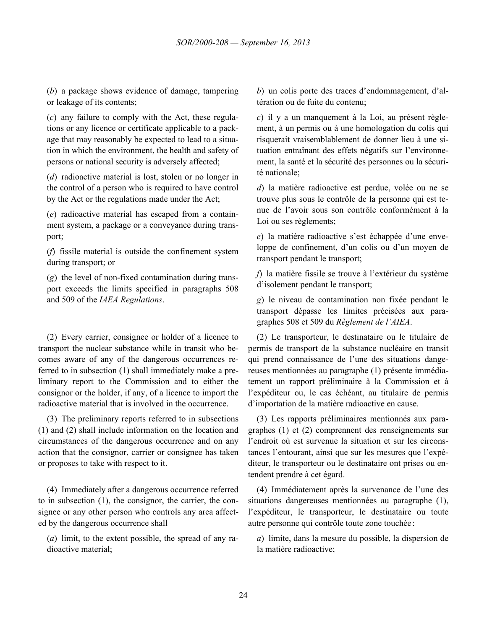(*b*) a package shows evidence of damage, tampering or leakage of its contents;

(*c*) any failure to comply with the Act, these regulations or any licence or certificate applicable to a package that may reasonably be expected to lead to a situation in which the environment, the health and safety of persons or national security is adversely affected;

(*d*) radioactive material is lost, stolen or no longer in the control of a person who is required to have control by the Act or the regulations made under the Act;

(*e*) radioactive material has escaped from a containment system, a package or a conveyance during transport;

(*f*) fissile material is outside the confinement system during transport; or

(*g*) the level of non-fixed contamination during transport exceeds the limits specified in paragraphs 508 and 509 of the *IAEA Regulations*.

(2) Every carrier, consignee or holder of a licence to transport the nuclear substance while in transit who becomes aware of any of the dangerous occurrences referred to in subsection (1) shall immediately make a preliminary report to the Commission and to either the consignor or the holder, if any, of a licence to import the radioactive material that is involved in the occurrence.

(3) The preliminary reports referred to in subsections (1) and (2) shall include information on the location and circumstances of the dangerous occurrence and on any action that the consignor, carrier or consignee has taken or proposes to take with respect to it.

(4) Immediately after a dangerous occurrence referred to in subsection (1), the consignor, the carrier, the consignee or any other person who controls any area affected by the dangerous occurrence shall

(*a*) limit, to the extent possible, the spread of any radioactive material;

*b*) un colis porte des traces d'endommagement, d'altération ou de fuite du contenu;

*c*) il y a un manquement à la Loi, au présent règlement, à un permis ou à une homologation du colis qui risquerait vraisemblablement de donner lieu à une situation entraînant des effets négatifs sur l'environnement, la santé et la sécurité des personnes ou la sécurité nationale;

*d*) la matière radioactive est perdue, volée ou ne se trouve plus sous le contrôle de la personne qui est tenue de l'avoir sous son contrôle conformément à la Loi ou ses règlements;

*e*) la matière radioactive s'est échappée d'une enveloppe de confinement, d'un colis ou d'un moyen de transport pendant le transport;

*f*) la matière fissile se trouve à l'extérieur du système d'isolement pendant le transport;

*g*) le niveau de contamination non fixée pendant le transport dépasse les limites précisées aux paragraphes 508 et 509 du *Règlement de l'AIEA*.

(2) Le transporteur, le destinataire ou le titulaire de permis de transport de la substance nucléaire en transit qui prend connaissance de l'une des situations dangereuses mentionnées au paragraphe (1) présente immédiatement un rapport préliminaire à la Commission et à l'expéditeur ou, le cas échéant, au titulaire de permis d'importation de la matière radioactive en cause.

(3) Les rapports préliminaires mentionnés aux paragraphes (1) et (2) comprennent des renseignements sur l'endroit où est survenue la situation et sur les circonstances l'entourant, ainsi que sur les mesures que l'expéditeur, le transporteur ou le destinataire ont prises ou entendent prendre à cet égard.

(4) Immédiatement après la survenance de l'une des situations dangereuses mentionnées au paragraphe (1), l'expéditeur, le transporteur, le destinataire ou toute autre personne qui contrôle toute zone touchée :

*a*) limite, dans la mesure du possible, la dispersion de la matière radioactive;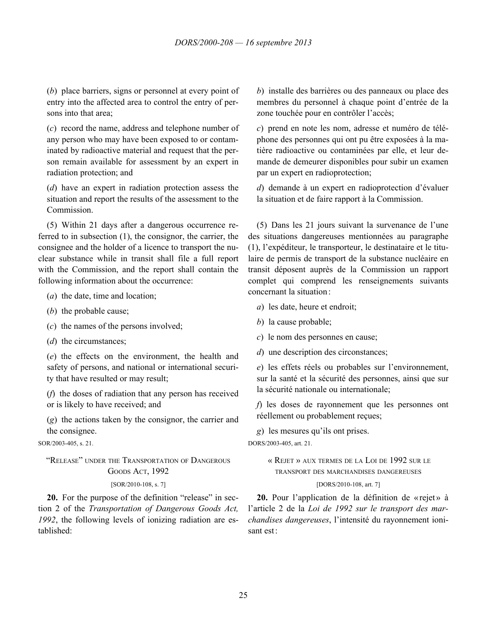<span id="page-29-0"></span>(*b*) place barriers, signs or personnel at every point of entry into the affected area to control the entry of persons into that area;

(*c*) record the name, address and telephone number of any person who may have been exposed to or contaminated by radioactive material and request that the person remain available for assessment by an expert in radiation protection; and

(*d*) have an expert in radiation protection assess the situation and report the results of the assessment to the Commission.

(5) Within 21 days after a dangerous occurrence referred to in subsection (1), the consignor, the carrier, the consignee and the holder of a licence to transport the nuclear substance while in transit shall file a full report with the Commission, and the report shall contain the following information about the occurrence:

- (*a*) the date, time and location;
- (*b*) the probable cause;
- (*c*) the names of the persons involved;
- (*d*) the circumstances;

(*e*) the effects on the environment, the health and safety of persons, and national or international security that have resulted or may result;

(*f*) the doses of radiation that any person has received or is likely to have received; and

(*g*) the actions taken by the consignor, the carrier and the consignee.

SOR/2003-405, s. 21.

# "RELEASE" UNDER THE TRANSPORTATION OF DANGEROUS GOODS ACT, 1992

# [SOR/2010-108, s. 7]

**20.** For the purpose of the definition "release" in section 2 of the *Transportation of Dangerous Goods Act, 1992*, the following levels of ionizing radiation are established:

*b*) installe des barrières ou des panneaux ou place des membres du personnel à chaque point d'entrée de la zone touchée pour en contrôler l'accès;

*c*) prend en note les nom, adresse et numéro de téléphone des personnes qui ont pu être exposées à la matière radioactive ou contaminées par elle, et leur demande de demeurer disponibles pour subir un examen par un expert en radioprotection;

*d*) demande à un expert en radioprotection d'évaluer la situation et de faire rapport à la Commission.

(5) Dans les 21 jours suivant la survenance de l'une des situations dangereuses mentionnées au paragraphe (1), l'expéditeur, le transporteur, le destinataire et le titulaire de permis de transport de la substance nucléaire en transit déposent auprès de la Commission un rapport complet qui comprend les renseignements suivants concernant la situation:

- *a*) les date, heure et endroit;
- *b*) la cause probable;
- *c*) le nom des personnes en cause;
- *d*) une description des circonstances;

*e*) les effets réels ou probables sur l'environnement, sur la santé et la sécurité des personnes, ainsi que sur la sécurité nationale ou internationale;

*f*) les doses de rayonnement que les personnes ont réellement ou probablement reçues;

*g*) les mesures qu'ils ont prises.

DORS/2003-405, art. 21.

 « REJET » AUX TERMES DE LA LOI DE 1992 SUR LE TRANSPORT DES MARCHANDISES DANGEREUSES

### [DORS/2010-108, art. 7]

**20.** Pour l'application de la définition de «rejet» à l'article 2 de la *Loi de 1992 sur le transport des marchandises dangereuses*, l'intensité du rayonnement ionisant est: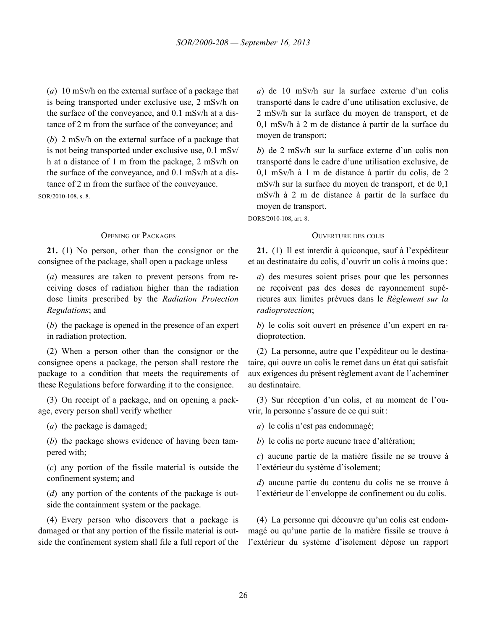<span id="page-30-0"></span>(*a*) 10 mSv/h on the external surface of a package that is being transported under exclusive use, 2 mSv/h on the surface of the conveyance, and 0.1 mSv/h at a distance of 2 m from the surface of the conveyance; and

(*b*) 2 mSv/h on the external surface of a package that is not being transported under exclusive use, 0.1 mSv/ h at a distance of 1 m from the package, 2 mSv/h on the surface of the conveyance, and 0.1 mSv/h at a distance of 2 m from the surface of the conveyance.

SOR/2010-108, s. 8.

## OPENING OF PACKAGES OUVERTURE DES COLIS

**21.** (1) No person, other than the consignor or the consignee of the package, shall open a package unless

(*a*) measures are taken to prevent persons from receiving doses of radiation higher than the radiation dose limits prescribed by the *Radiation Protection Regulations*; and

(*b*) the package is opened in the presence of an expert in radiation protection.

(2) When a person other than the consignor or the consignee opens a package, the person shall restore the package to a condition that meets the requirements of these Regulations before forwarding it to the consignee.

(3) On receipt of a package, and on opening a package, every person shall verify whether

(*a*) the package is damaged;

(*b*) the package shows evidence of having been tampered with;

(*c*) any portion of the fissile material is outside the confinement system; and

(*d*) any portion of the contents of the package is outside the containment system or the package.

(4) Every person who discovers that a package is damaged or that any portion of the fissile material is outside the confinement system shall file a full report of the *a*) de 10 mSv/h sur la surface externe d'un colis transporté dans le cadre d'une utilisation exclusive, de 2 mSv/h sur la surface du moyen de transport, et de 0,1 mSv/h à 2 m de distance à partir de la surface du moyen de transport;

*b*) de 2 mSv/h sur la surface externe d'un colis non transporté dans le cadre d'une utilisation exclusive, de 0,1 mSv/h à 1 m de distance à partir du colis, de 2 mSv/h sur la surface du moyen de transport, et de 0,1 mSv/h à 2 m de distance à partir de la surface du moyen de transport.

DORS/2010-108, art. 8.

**21.** (1) Il est interdit à quiconque, sauf à l'expéditeur et au destinataire du colis, d'ouvrir un colis à moins que :

*a*) des mesures soient prises pour que les personnes ne reçoivent pas des doses de rayonnement supérieures aux limites prévues dans le *Règlement sur la radioprotection*;

*b*) le colis soit ouvert en présence d'un expert en radioprotection.

(2) La personne, autre que l'expéditeur ou le destinataire, qui ouvre un colis le remet dans un état qui satisfait aux exigences du présent règlement avant de l'acheminer au destinataire.

(3) Sur réception d'un colis, et au moment de l'ouvrir, la personne s'assure de ce qui suit:

*a*) le colis n'est pas endommagé;

*b*) le colis ne porte aucune trace d'altération;

*c*) aucune partie de la matière fissile ne se trouve à l'extérieur du système d'isolement;

*d*) aucune partie du contenu du colis ne se trouve à l'extérieur de l'enveloppe de confinement ou du colis.

(4) La personne qui découvre qu'un colis est endommagé ou qu'une partie de la matière fissile se trouve à l'extérieur du système d'isolement dépose un rapport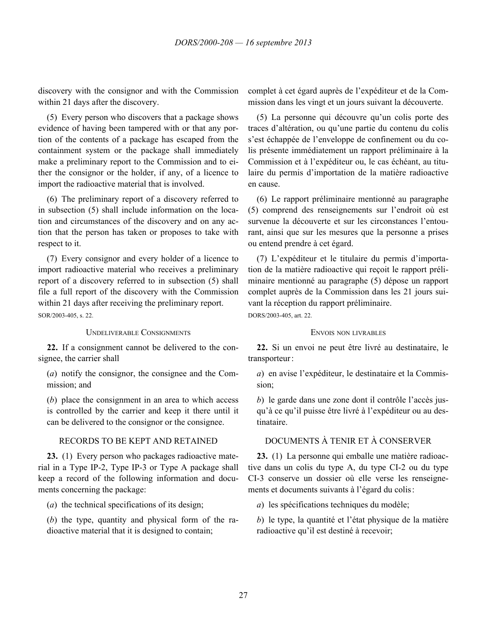<span id="page-31-0"></span>discovery with the consignor and with the Commission within 21 days after the discovery.

(5) Every person who discovers that a package shows evidence of having been tampered with or that any portion of the contents of a package has escaped from the containment system or the package shall immediately make a preliminary report to the Commission and to either the consignor or the holder, if any, of a licence to import the radioactive material that is involved.

(6) The preliminary report of a discovery referred to in subsection (5) shall include information on the location and circumstances of the discovery and on any action that the person has taken or proposes to take with respect to it.

(7) Every consignor and every holder of a licence to import radioactive material who receives a preliminary report of a discovery referred to in subsection (5) shall file a full report of the discovery with the Commission within 21 days after receiving the preliminary report. SOR/2003-405, s. 22.

### UNDELIVERABLE CONSIGNMENTS ENVOIS NON LIVRABLES

**22.** If a consignment cannot be delivered to the consignee, the carrier shall

(*a*) notify the consignor, the consignee and the Commission; and

(*b*) place the consignment in an area to which access is controlled by the carrier and keep it there until it can be delivered to the consignor or the consignee.

**23.** (1) Every person who packages radioactive material in a Type IP-2, Type IP-3 or Type A package shall keep a record of the following information and documents concerning the package:

(*a*) the technical specifications of its design;

(*b*) the type, quantity and physical form of the radioactive material that it is designed to contain;

complet à cet égard auprès de l'expéditeur et de la Commission dans les vingt et un jours suivant la découverte.

(5) La personne qui découvre qu'un colis porte des traces d'altération, ou qu'une partie du contenu du colis s'est échappée de l'enveloppe de confinement ou du colis présente immédiatement un rapport préliminaire à la Commission et à l'expéditeur ou, le cas échéant, au titulaire du permis d'importation de la matière radioactive en cause.

(6) Le rapport préliminaire mentionné au paragraphe (5) comprend des renseignements sur l'endroit où est survenue la découverte et sur les circonstances l'entourant, ainsi que sur les mesures que la personne a prises ou entend prendre à cet égard.

(7) L'expéditeur et le titulaire du permis d'importation de la matière radioactive qui reçoit le rapport préliminaire mentionné au paragraphe (5) dépose un rapport complet auprès de la Commission dans les 21 jours suivant la réception du rapport préliminaire.

DORS/2003-405, art. 22.

**22.** Si un envoi ne peut être livré au destinataire, le transporteur:

*a*) en avise l'expéditeur, le destinataire et la Commission;

*b*) le garde dans une zone dont il contrôle l'accès jusqu'à ce qu'il puisse être livré à l'expéditeur ou au destinataire.

# RECORDS TO BE KEPT AND RETAINED DOCUMENTS À TENIR ET À CONSERVER

**23.** (1) La personne qui emballe une matière radioactive dans un colis du type A, du type CI-2 ou du type CI-3 conserve un dossier où elle verse les renseignements et documents suivants à l'égard du colis:

*a*) les spécifications techniques du modèle;

*b*) le type, la quantité et l'état physique de la matière radioactive qu'il est destiné à recevoir;